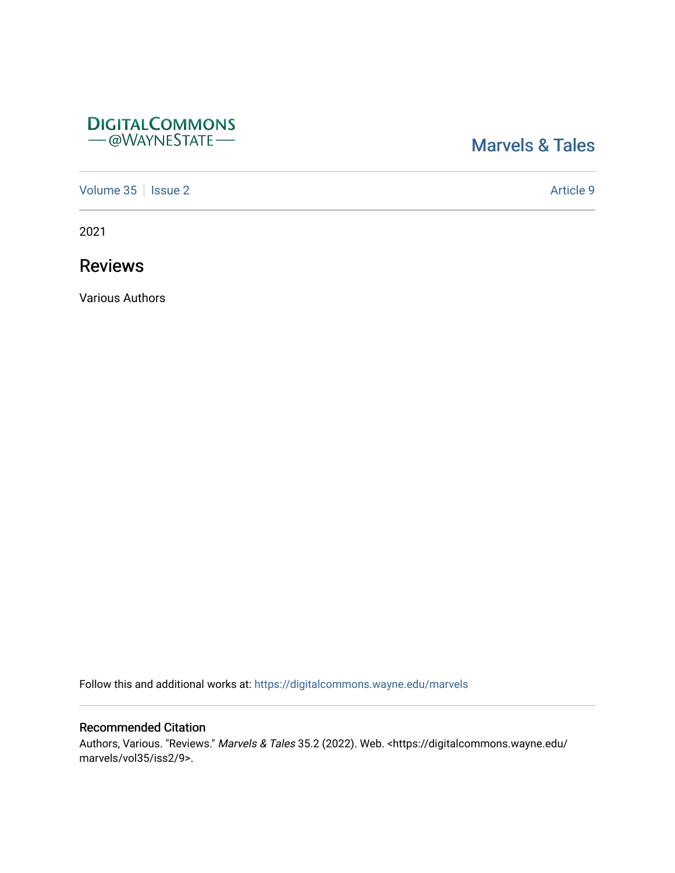## **DIGITALCOMMONS** - @WAYNESTATE-

# [Marvels & Tales](https://digitalcommons.wayne.edu/marvels)

[Volume 35](https://digitalcommons.wayne.edu/marvels/vol35) | [Issue 2](https://digitalcommons.wayne.edu/marvels/vol35/iss2) Article 9

2021

Reviews

Various Authors

Follow this and additional works at: [https://digitalcommons.wayne.edu/marvels](https://digitalcommons.wayne.edu/marvels?utm_source=digitalcommons.wayne.edu%2Fmarvels%2Fvol35%2Fiss2%2F9&utm_medium=PDF&utm_campaign=PDFCoverPages) 

### Recommended Citation

Authors, Various. "Reviews." Marvels & Tales 35.2 (2022). Web. <https://digitalcommons.wayne.edu/ marvels/vol35/iss2/9>.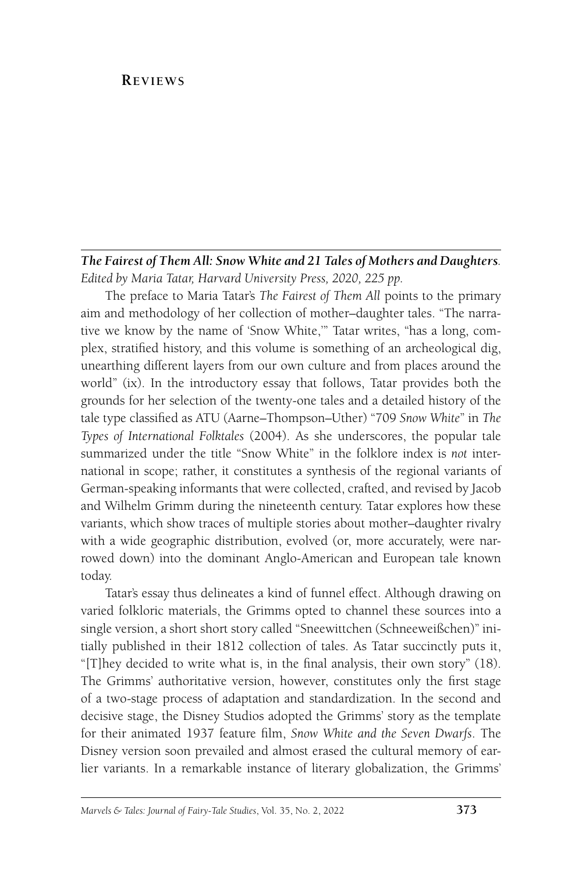#### **Reviews**

#### *The Fairest of Them All: Snow White and 21 Tales of Mothers and Daughters. Edited by Maria Tatar, Harvard University Press, 2020, 225 pp.*

The preface to Maria Tatar's *The Fairest of Them All* points to the primary aim and methodology of her collection of mother–daughter tales. "The narrative we know by the name of 'Snow White,'" Tatar writes, "has a long, complex, stratified history, and this volume is something of an archeological dig, unearthing different layers from our own culture and from places around the world" (ix). In the introductory essay that follows, Tatar provides both the grounds for her selection of the twenty-one tales and a detailed history of the tale type classified as ATU (Aarne–Thompson–Uther) "709 *Snow White*" in *The Types of International Folktales* (2004). As she underscores, the popular tale summarized under the title "Snow White" in the folklore index is *not* international in scope; rather, it constitutes a synthesis of the regional variants of German-speaking informants that were collected, crafted, and revised by Jacob and Wilhelm Grimm during the nineteenth century. Tatar explores how these variants, which show traces of multiple stories about mother–daughter rivalry with a wide geographic distribution, evolved (or, more accurately, were narrowed down) into the dominant Anglo-American and European tale known today.

Tatar's essay thus delineates a kind of funnel effect. Although drawing on varied folkloric materials, the Grimms opted to channel these sources into a single version, a short short story called "Sneewittchen (Schneeweißchen)" initially published in their 1812 collection of tales. As Tatar succinctly puts it, "[T]hey decided to write what is, in the final analysis, their own story" (18). The Grimms' authoritative version, however, constitutes only the first stage of a two-stage process of adaptation and standardization. In the second and decisive stage, the Disney Studios adopted the Grimms' story as the template for their animated 1937 feature film, *Snow White and the Seven Dwarfs*. The Disney version soon prevailed and almost erased the cultural memory of earlier variants. In a remarkable instance of literary globalization, the Grimms'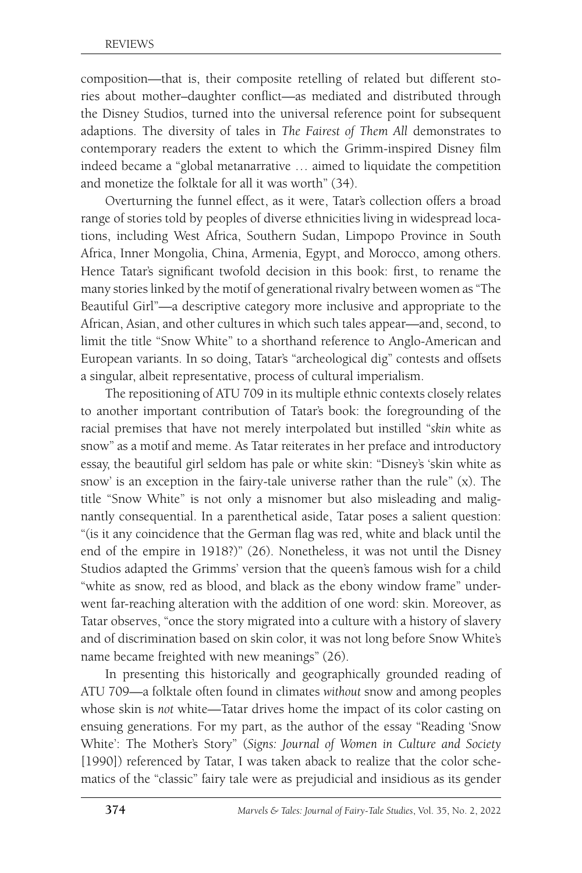composition—that is, their composite retelling of related but different stories about mother–daughter conflict—as mediated and distributed through the Disney Studios, turned into the universal reference point for subsequent adaptions. The diversity of tales in *The Fairest of Them All* demonstrates to contemporary readers the extent to which the Grimm-inspired Disney film indeed became a "global metanarrative … aimed to liquidate the competition and monetize the folktale for all it was worth" (34).

Overturning the funnel effect, as it were, Tatar's collection offers a broad range of stories told by peoples of diverse ethnicities living in widespread locations, including West Africa, Southern Sudan, Limpopo Province in South Africa, Inner Mongolia, China, Armenia, Egypt, and Morocco, among others. Hence Tatar's significant twofold decision in this book: first, to rename the many stories linked by the motif of generational rivalry between women as "The Beautiful Girl"—a descriptive category more inclusive and appropriate to the African, Asian, and other cultures in which such tales appear—and, second, to limit the title "Snow White" to a shorthand reference to Anglo-American and European variants. In so doing, Tatar's "archeological dig" contests and offsets a singular, albeit representative, process of cultural imperialism.

The repositioning of ATU 709 in its multiple ethnic contexts closely relates to another important contribution of Tatar's book: the foregrounding of the racial premises that have not merely interpolated but instilled "*skin* white as snow" as a motif and meme. As Tatar reiterates in her preface and introductory essay, the beautiful girl seldom has pale or white skin: "Disney's 'skin white as snow' is an exception in the fairy-tale universe rather than the rule" (x). The title "Snow White" is not only a misnomer but also misleading and malignantly consequential. In a parenthetical aside, Tatar poses a salient question: "(is it any coincidence that the German flag was red, white and black until the end of the empire in 1918?)" (26). Nonetheless, it was not until the Disney Studios adapted the Grimms' version that the queen's famous wish for a child "white as snow, red as blood, and black as the ebony window frame" underwent far-reaching alteration with the addition of one word: skin. Moreover, as Tatar observes, "once the story migrated into a culture with a history of slavery and of discrimination based on skin color, it was not long before Snow White's name became freighted with new meanings" (26).

In presenting this historically and geographically grounded reading of ATU 709—a folktale often found in climates *without* snow and among peoples whose skin is *not* white—Tatar drives home the impact of its color casting on ensuing generations. For my part, as the author of the essay "Reading 'Snow White': The Mother's Story" (*Signs: Journal of Women in Culture and Society* [1990]) referenced by Tatar, I was taken aback to realize that the color schematics of the "classic" fairy tale were as prejudicial and insidious as its gender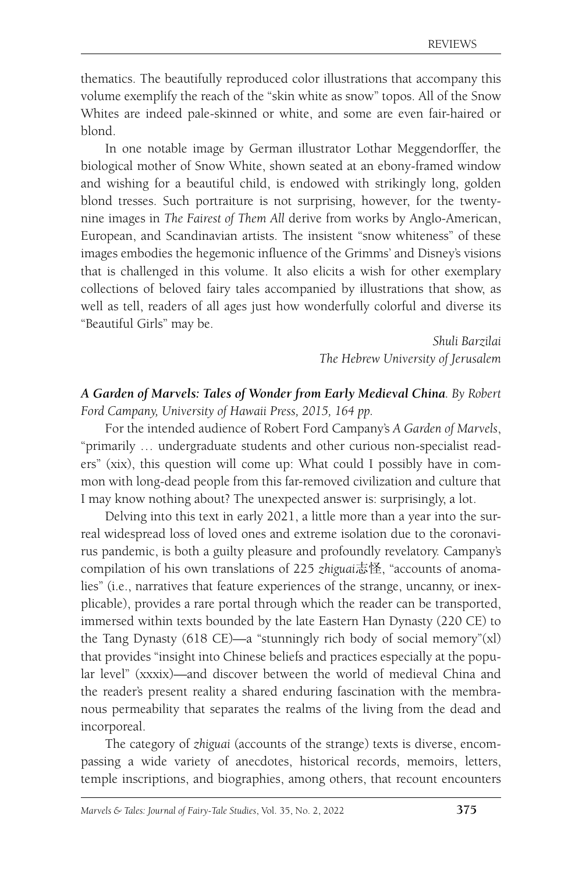thematics. The beautifully reproduced color illustrations that accompany this volume exemplify the reach of the "skin white as snow" topos. All of the Snow Whites are indeed pale-skinned or white, and some are even fair-haired or blond.

In one notable image by German illustrator Lothar Meggendorffer, the biological mother of Snow White, shown seated at an ebony-framed window and wishing for a beautiful child, is endowed with strikingly long, golden blond tresses. Such portraiture is not surprising, however, for the twentynine images in *The Fairest of Them All* derive from works by Anglo-American, European, and Scandinavian artists. The insistent "snow whiteness" of these images embodies the hegemonic influence of the Grimms' and Disney's visions that is challenged in this volume. It also elicits a wish for other exemplary collections of beloved fairy tales accompanied by illustrations that show, as well as tell, readers of all ages just how wonderfully colorful and diverse its "Beautiful Girls" may be.

> *Shuli Barzilai The Hebrew University of Jerusalem*

*A Garden of Marvels: Tales of Wonder from Early Medieval China. By Robert Ford Campany, University of Hawaii Press, 2015, 164 pp.*

For the intended audience of Robert Ford Campany's *A Garden of Marvels*, "primarily … undergraduate students and other curious non-specialist readers" (xix), this question will come up: What could I possibly have in common with long-dead people from this far-removed civilization and culture that I may know nothing about? The unexpected answer is: surprisingly, a lot.

Delving into this text in early 2021, a little more than a year into the surreal widespread loss of loved ones and extreme isolation due to the coronavirus pandemic, is both a guilty pleasure and profoundly revelatory. Campany's compilation of his own translations of 225 *zhiguai*志怪, "accounts of anomalies" (i.e., narratives that feature experiences of the strange, uncanny, or inexplicable), provides a rare portal through which the reader can be transported, immersed within texts bounded by the late Eastern Han Dynasty (220 CE) to the Tang Dynasty (618 CE)—a "stunningly rich body of social memory"(xl) that provides "insight into Chinese beliefs and practices especially at the popular level" (xxxix)—and discover between the world of medieval China and the reader's present reality a shared enduring fascination with the membranous permeability that separates the realms of the living from the dead and incorporeal.

The category of *zhiguai* (accounts of the strange) texts is diverse, encompassing a wide variety of anecdotes, historical records, memoirs, letters, temple inscriptions, and biographies, among others, that recount encounters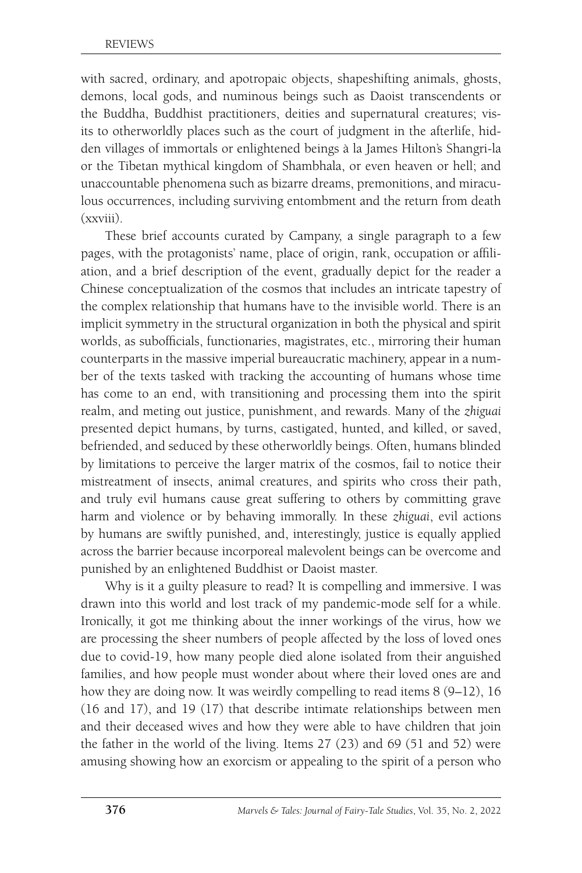with sacred, ordinary, and apotropaic objects, shapeshifting animals, ghosts, demons, local gods, and numinous beings such as Daoist transcendents or the Buddha, Buddhist practitioners, deities and supernatural creatures; visits to otherworldly places such as the court of judgment in the afterlife, hidden villages of immortals or enlightened beings à la James Hilton's Shangri-la or the Tibetan mythical kingdom of Shambhala, or even heaven or hell; and unaccountable phenomena such as bizarre dreams, premonitions, and miraculous occurrences, including surviving entombment and the return from death (xxviii).

These brief accounts curated by Campany, a single paragraph to a few pages, with the protagonists' name, place of origin, rank, occupation or affiliation, and a brief description of the event, gradually depict for the reader a Chinese conceptualization of the cosmos that includes an intricate tapestry of the complex relationship that humans have to the invisible world. There is an implicit symmetry in the structural organization in both the physical and spirit worlds, as subofficials, functionaries, magistrates, etc., mirroring their human counterparts in the massive imperial bureaucratic machinery, appear in a number of the texts tasked with tracking the accounting of humans whose time has come to an end, with transitioning and processing them into the spirit realm, and meting out justice, punishment, and rewards. Many of the *zhiguai* presented depict humans, by turns, castigated, hunted, and killed, or saved, befriended, and seduced by these otherworldly beings. Often, humans blinded by limitations to perceive the larger matrix of the cosmos, fail to notice their mistreatment of insects, animal creatures, and spirits who cross their path, and truly evil humans cause great suffering to others by committing grave harm and violence or by behaving immorally. In these *zhiguai*, evil actions by humans are swiftly punished, and, interestingly, justice is equally applied across the barrier because incorporeal malevolent beings can be overcome and punished by an enlightened Buddhist or Daoist master.

Why is it a guilty pleasure to read? It is compelling and immersive. I was drawn into this world and lost track of my pandemic-mode self for a while. Ironically, it got me thinking about the inner workings of the virus, how we are processing the sheer numbers of people affected by the loss of loved ones due to covid-19, how many people died alone isolated from their anguished families, and how people must wonder about where their loved ones are and how they are doing now. It was weirdly compelling to read items 8 (9-12), 16 (16 and 17), and 19 (17) that describe intimate relationships between men and their deceased wives and how they were able to have children that join the father in the world of the living. Items 27 (23) and 69 (51 and 52) were amusing showing how an exorcism or appealing to the spirit of a person who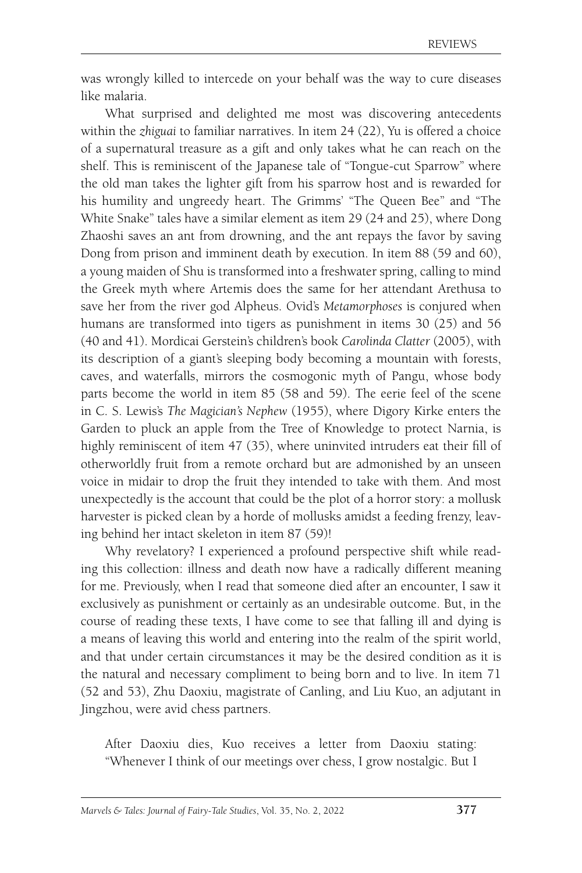was wrongly killed to intercede on your behalf was the way to cure diseases like malaria.

What surprised and delighted me most was discovering antecedents within the *zhiguai* to familiar narratives. In item 24 (22), Yu is offered a choice of a supernatural treasure as a gift and only takes what he can reach on the shelf. This is reminiscent of the Japanese tale of "Tongue-cut Sparrow" where the old man takes the lighter gift from his sparrow host and is rewarded for his humility and ungreedy heart. The Grimms' "The Queen Bee" and "The White Snake" tales have a similar element as item 29 (24 and 25), where Dong Zhaoshi saves an ant from drowning, and the ant repays the favor by saving Dong from prison and imminent death by execution. In item 88 (59 and 60), a young maiden of Shu is transformed into a freshwater spring, calling to mind the Greek myth where Artemis does the same for her attendant Arethusa to save her from the river god Alpheus. Ovid's *Metamorphoses* is conjured when humans are transformed into tigers as punishment in items 30 (25) and 56 (40 and 41). Mordicai Gerstein's children's book *Carolinda Clatter* (2005), with its description of a giant's sleeping body becoming a mountain with forests, caves, and waterfalls, mirrors the cosmogonic myth of Pangu, whose body parts become the world in item 85 (58 and 59). The eerie feel of the scene in C. S. Lewis's *The Magician's Nephew* (1955), where Digory Kirke enters the Garden to pluck an apple from the Tree of Knowledge to protect Narnia, is highly reminiscent of item 47 (35), where uninvited intruders eat their fill of otherworldly fruit from a remote orchard but are admonished by an unseen voice in midair to drop the fruit they intended to take with them. And most unexpectedly is the account that could be the plot of a horror story: a mollusk harvester is picked clean by a horde of mollusks amidst a feeding frenzy, leaving behind her intact skeleton in item 87 (59)!

Why revelatory? I experienced a profound perspective shift while reading this collection: illness and death now have a radically different meaning for me. Previously, when I read that someone died after an encounter, I saw it exclusively as punishment or certainly as an undesirable outcome. But, in the course of reading these texts, I have come to see that falling ill and dying is a means of leaving this world and entering into the realm of the spirit world, and that under certain circumstances it may be the desired condition as it is the natural and necessary compliment to being born and to live. In item 71 (52 and 53), Zhu Daoxiu, magistrate of Canling, and Liu Kuo, an adjutant in Jingzhou, were avid chess partners.

After Daoxiu dies, Kuo receives a letter from Daoxiu stating: "Whenever I think of our meetings over chess, I grow nostalgic. But I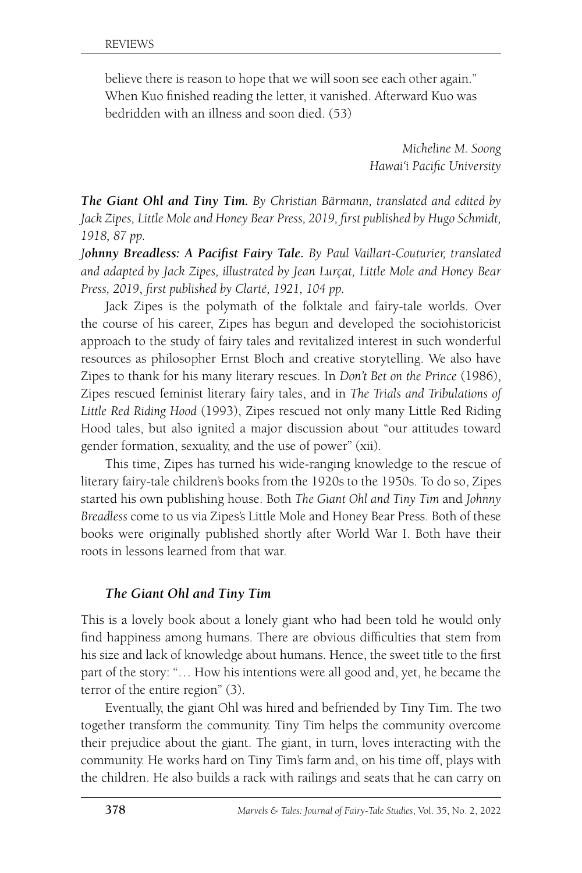believe there is reason to hope that we will soon see each other again." When Kuo finished reading the letter, it vanished. Afterward Kuo was bedridden with an illness and soon died. (53)

> *Micheline M. Soong Hawai'i Pacific University*

*The Giant Ohl and Tiny Tim. By Christian Bärmann, translated and edited by Jack Zipes, Little Mole and Honey Bear Press, 2019, first published by Hugo Schmidt, 1918, 87 pp.*

*Johnny Breadless: A Pacifist Fairy Tale. By Paul Vaillart-Couturier, translated and adapted by Jack Zipes, illustrated by Jean Lurçat, Little Mole and Honey Bear Press, 2019*, *first published by Clarté, 1921, 104 pp.*

Jack Zipes is the polymath of the folktale and fairy-tale worlds. Over the course of his career, Zipes has begun and developed the sociohistoricist approach to the study of fairy tales and revitalized interest in such wonderful resources as philosopher Ernst Bloch and creative storytelling. We also have Zipes to thank for his many literary rescues. In *Don't Bet on the Prince* (1986), Zipes rescued feminist literary fairy tales, and in *The Trials and Tribulations of Little Red Riding Hood* (1993), Zipes rescued not only many Little Red Riding Hood tales, but also ignited a major discussion about "our attitudes toward gender formation, sexuality, and the use of power" (xii).

This time, Zipes has turned his wide-ranging knowledge to the rescue of literary fairy-tale children's books from the 1920s to the 1950s. To do so, Zipes started his own publishing house. Both *The Giant Ohl and Tiny Tim* and *Johnny Breadless* come to us via Zipes's Little Mole and Honey Bear Press. Both of these books were originally published shortly after World War I. Both have their roots in lessons learned from that war.

#### *The Giant Ohl and Tiny Tim*

This is a lovely book about a lonely giant who had been told he would only find happiness among humans. There are obvious difficulties that stem from his size and lack of knowledge about humans. Hence, the sweet title to the first part of the story: "… How his intentions were all good and, yet, he became the terror of the entire region" (3).

Eventually, the giant Ohl was hired and befriended by Tiny Tim. The two together transform the community. Tiny Tim helps the community overcome their prejudice about the giant. The giant, in turn, loves interacting with the community. He works hard on Tiny Tim's farm and, on his time off, plays with the children. He also builds a rack with railings and seats that he can carry on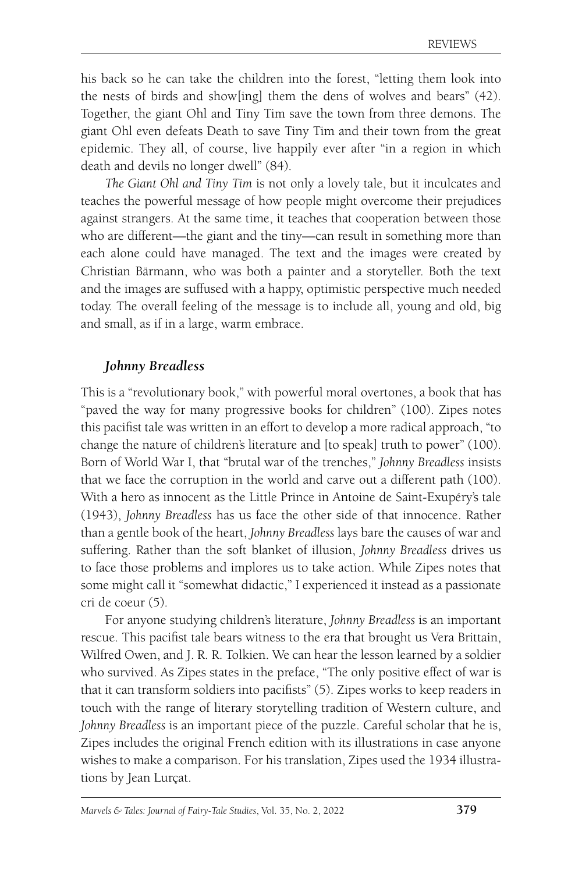his back so he can take the children into the forest, "letting them look into the nests of birds and show[ing] them the dens of wolves and bears" (42). Together, the giant Ohl and Tiny Tim save the town from three demons. The giant Ohl even defeats Death to save Tiny Tim and their town from the great epidemic. They all, of course, live happily ever after "in a region in which death and devils no longer dwell" (84).

*The Giant Ohl and Tiny Tim* is not only a lovely tale, but it inculcates and teaches the powerful message of how people might overcome their prejudices against strangers. At the same time, it teaches that cooperation between those who are different—the giant and the tiny—can result in something more than each alone could have managed. The text and the images were created by Christian Bärmann, who was both a painter and a storyteller. Both the text and the images are suffused with a happy, optimistic perspective much needed today. The overall feeling of the message is to include all, young and old, big and small, as if in a large, warm embrace.

#### *Johnny Breadless*

This is a "revolutionary book," with powerful moral overtones, a book that has "paved the way for many progressive books for children" (100). Zipes notes this pacifist tale was written in an effort to develop a more radical approach, "to change the nature of children's literature and [to speak] truth to power" (100). Born of World War I, that "brutal war of the trenches," *Johnny Breadless* insists that we face the corruption in the world and carve out a different path (100). With a hero as innocent as the Little Prince in Antoine de Saint-Exupéry's tale (1943), *Johnny Breadless* has us face the other side of that innocence. Rather than a gentle book of the heart, *Johnny Breadless* lays bare the causes of war and suffering. Rather than the soft blanket of illusion, *Johnny Breadless* drives us to face those problems and implores us to take action. While Zipes notes that some might call it "somewhat didactic," I experienced it instead as a passionate cri de coeur (5).

For anyone studying children's literature, *Johnny Breadless* is an important rescue. This pacifist tale bears witness to the era that brought us Vera Brittain, Wilfred Owen, and J. R. R. Tolkien. We can hear the lesson learned by a soldier who survived. As Zipes states in the preface, "The only positive effect of war is that it can transform soldiers into pacifists" (5). Zipes works to keep readers in touch with the range of literary storytelling tradition of Western culture, and *Johnny Breadless* is an important piece of the puzzle. Careful scholar that he is, Zipes includes the original French edition with its illustrations in case anyone wishes to make a comparison. For his translation, Zipes used the 1934 illustrations by Jean Lurçat.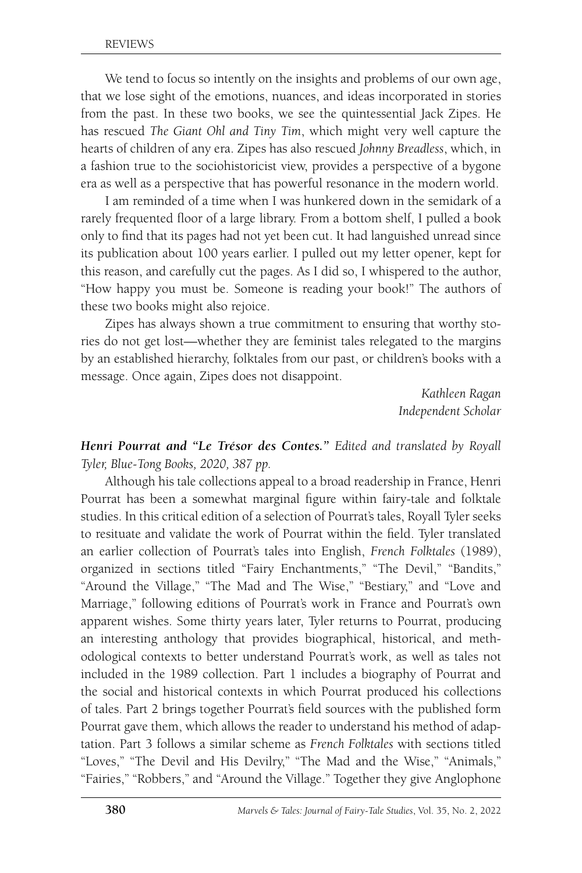We tend to focus so intently on the insights and problems of our own age, that we lose sight of the emotions, nuances, and ideas incorporated in stories from the past. In these two books, we see the quintessential Jack Zipes. He has rescued *The Giant Ohl and Tiny Tim*, which might very well capture the hearts of children of any era. Zipes has also rescued *Johnny Breadless*, which, in a fashion true to the sociohistoricist view, provides a perspective of a bygone era as well as a perspective that has powerful resonance in the modern world.

I am reminded of a time when I was hunkered down in the semidark of a rarely frequented floor of a large library. From a bottom shelf, I pulled a book only to find that its pages had not yet been cut. It had languished unread since its publication about 100 years earlier. I pulled out my letter opener, kept for this reason, and carefully cut the pages. As I did so, I whispered to the author, "How happy you must be. Someone is reading your book!" The authors of these two books might also rejoice.

Zipes has always shown a true commitment to ensuring that worthy stories do not get lost—whether they are feminist tales relegated to the margins by an established hierarchy, folktales from our past, or children's books with a message. Once again, Zipes does not disappoint.

> *Kathleen Ragan Independent Scholar*

*Henri Pourrat and "Le Trésor des Contes." Edited and translated by Royall Tyler, Blue-Tong Books, 2020, 387 pp.*

Although his tale collections appeal to a broad readership in France, Henri Pourrat has been a somewhat marginal figure within fairy-tale and folktale studies. In this critical edition of a selection of Pourrat's tales, Royall Tyler seeks to resituate and validate the work of Pourrat within the field. Tyler translated an earlier collection of Pourrat's tales into English, *French Folktales* (1989), organized in sections titled "Fairy Enchantments," "The Devil," "Bandits," "Around the Village," "The Mad and The Wise," "Bestiary," and "Love and Marriage," following editions of Pourrat's work in France and Pourrat's own apparent wishes. Some thirty years later, Tyler returns to Pourrat, producing an interesting anthology that provides biographical, historical, and methodological contexts to better understand Pourrat's work, as well as tales not included in the 1989 collection. Part 1 includes a biography of Pourrat and the social and historical contexts in which Pourrat produced his collections of tales. Part 2 brings together Pourrat's field sources with the published form Pourrat gave them, which allows the reader to understand his method of adaptation. Part 3 follows a similar scheme as *French Folktales* with sections titled "Loves," "The Devil and His Devilry," "The Mad and the Wise," "Animals," "Fairies," "Robbers," and "Around the Village." Together they give Anglophone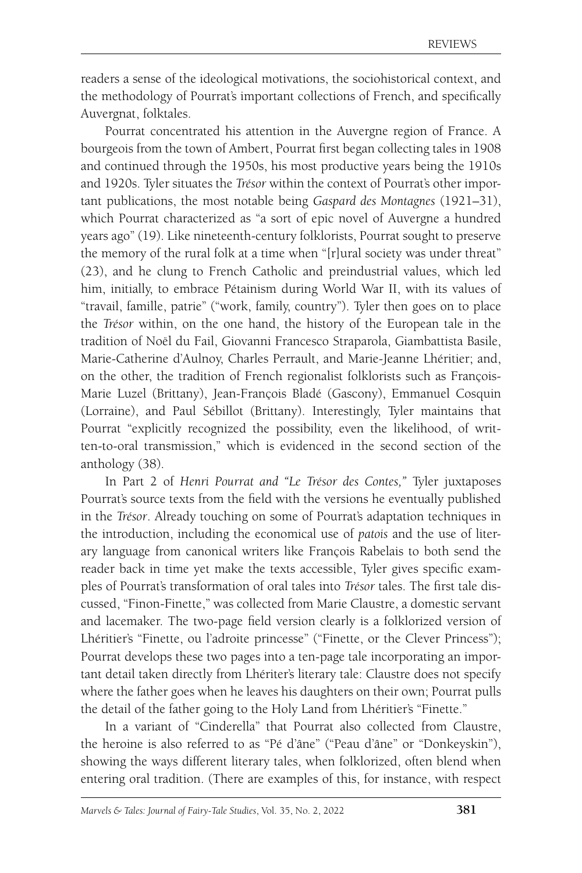readers a sense of the ideological motivations, the sociohistorical context, and the methodology of Pourrat's important collections of French, and specifically Auvergnat, folktales.

Pourrat concentrated his attention in the Auvergne region of France. A bourgeois from the town of Ambert, Pourrat first began collecting tales in 1908 and continued through the 1950s, his most productive years being the 1910s and 1920s. Tyler situates the *Trésor* within the context of Pourrat's other important publications, the most notable being *Gaspard des Montagnes* (1921–31), which Pourrat characterized as "a sort of epic novel of Auvergne a hundred years ago" (19). Like nineteenth-century folklorists, Pourrat sought to preserve the memory of the rural folk at a time when "[r]ural society was under threat" (23), and he clung to French Catholic and preindustrial values, which led him, initially, to embrace Pétainism during World War II, with its values of "travail, famille, patrie" ("work, family, country"). Tyler then goes on to place the *Trésor* within, on the one hand, the history of the European tale in the tradition of Noël du Fail, Giovanni Francesco Straparola, Giambattista Basile, Marie-Catherine d'Aulnoy, Charles Perrault, and Marie-Jeanne Lhéritier; and, on the other, the tradition of French regionalist folklorists such as François-Marie Luzel (Brittany), Jean-François Bladé (Gascony), Emmanuel Cosquin (Lorraine), and Paul Sébillot (Brittany). Interestingly, Tyler maintains that Pourrat "explicitly recognized the possibility, even the likelihood, of written-to-oral transmission," which is evidenced in the second section of the anthology (38).

In Part 2 of *Henri Pourrat and "Le Trésor des Contes,"* Tyler juxtaposes Pourrat's source texts from the field with the versions he eventually published in the *Trésor*. Already touching on some of Pourrat's adaptation techniques in the introduction, including the economical use of *patois* and the use of literary language from canonical writers like François Rabelais to both send the reader back in time yet make the texts accessible, Tyler gives specific examples of Pourrat's transformation of oral tales into *Trésor* tales. The first tale discussed, "Finon-Finette," was collected from Marie Claustre, a domestic servant and lacemaker. The two-page field version clearly is a folklorized version of Lhéritier's "Finette, ou l'adroite princesse" ("Finette, or the Clever Princess"); Pourrat develops these two pages into a ten-page tale incorporating an important detail taken directly from Lhériter's literary tale: Claustre does not specify where the father goes when he leaves his daughters on their own; Pourrat pulls the detail of the father going to the Holy Land from Lhéritier's "Finette."

In a variant of "Cinderella" that Pourrat also collected from Claustre, the heroine is also referred to as "Pé d'âne" ("Peau d'âne" or "Donkeyskin"), showing the ways different literary tales, when folklorized, often blend when entering oral tradition. (There are examples of this, for instance, with respect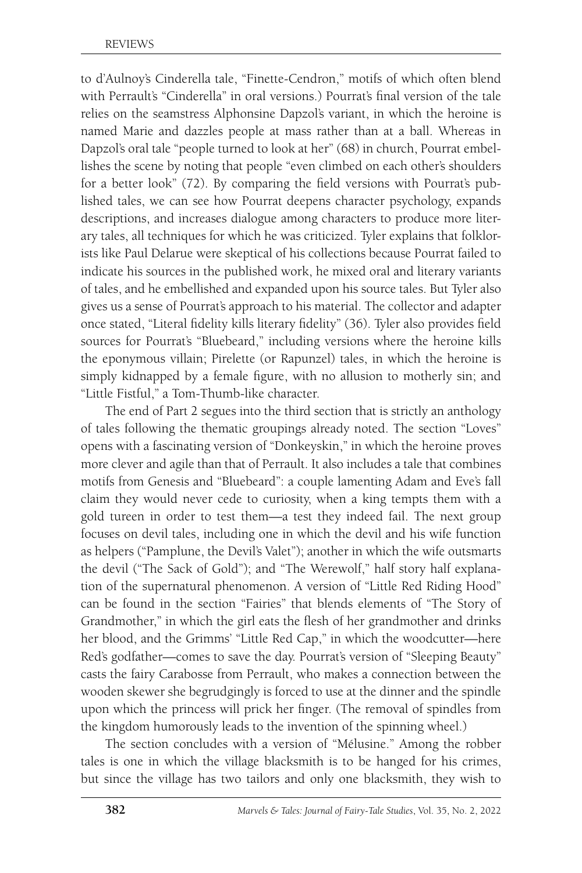to d'Aulnoy's Cinderella tale, "Finette-Cendron," motifs of which often blend with Perrault's "Cinderella" in oral versions.) Pourrat's final version of the tale relies on the seamstress Alphonsine Dapzol's variant, in which the heroine is named Marie and dazzles people at mass rather than at a ball. Whereas in Dapzol's oral tale "people turned to look at her" (68) in church, Pourrat embellishes the scene by noting that people "even climbed on each other's shoulders for a better look" (72). By comparing the field versions with Pourrat's published tales, we can see how Pourrat deepens character psychology, expands descriptions, and increases dialogue among characters to produce more literary tales, all techniques for which he was criticized. Tyler explains that folklorists like Paul Delarue were skeptical of his collections because Pourrat failed to indicate his sources in the published work, he mixed oral and literary variants of tales, and he embellished and expanded upon his source tales. But Tyler also gives us a sense of Pourrat's approach to his material. The collector and adapter once stated, "Literal fidelity kills literary fidelity" (36). Tyler also provides field sources for Pourrat's "Bluebeard," including versions where the heroine kills the eponymous villain; Pirelette (or Rapunzel) tales, in which the heroine is simply kidnapped by a female figure, with no allusion to motherly sin; and "Little Fistful," a Tom-Thumb-like character.

The end of Part 2 segues into the third section that is strictly an anthology of tales following the thematic groupings already noted. The section "Loves" opens with a fascinating version of "Donkeyskin," in which the heroine proves more clever and agile than that of Perrault. It also includes a tale that combines motifs from Genesis and "Bluebeard": a couple lamenting Adam and Eve's fall claim they would never cede to curiosity, when a king tempts them with a gold tureen in order to test them—a test they indeed fail. The next group focuses on devil tales, including one in which the devil and his wife function as helpers ("Pamplune, the Devil's Valet"); another in which the wife outsmarts the devil ("The Sack of Gold"); and "The Werewolf," half story half explanation of the supernatural phenomenon. A version of "Little Red Riding Hood" can be found in the section "Fairies" that blends elements of "The Story of Grandmother," in which the girl eats the flesh of her grandmother and drinks her blood, and the Grimms' "Little Red Cap," in which the woodcutter—here Red's godfather—comes to save the day. Pourrat's version of "Sleeping Beauty" casts the fairy Carabosse from Perrault, who makes a connection between the wooden skewer she begrudgingly is forced to use at the dinner and the spindle upon which the princess will prick her finger. (The removal of spindles from the kingdom humorously leads to the invention of the spinning wheel.)

The section concludes with a version of "Mélusine." Among the robber tales is one in which the village blacksmith is to be hanged for his crimes, but since the village has two tailors and only one blacksmith, they wish to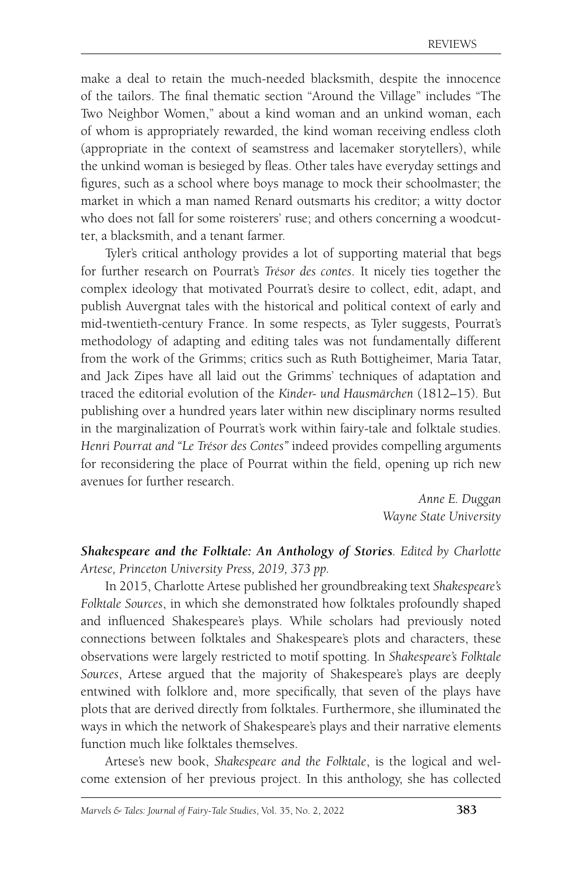make a deal to retain the much-needed blacksmith, despite the innocence of the tailors. The final thematic section "Around the Village" includes "The Two Neighbor Women," about a kind woman and an unkind woman, each of whom is appropriately rewarded, the kind woman receiving endless cloth (appropriate in the context of seamstress and lacemaker storytellers), while the unkind woman is besieged by fleas. Other tales have everyday settings and figures, such as a school where boys manage to mock their schoolmaster; the market in which a man named Renard outsmarts his creditor; a witty doctor who does not fall for some roisterers' ruse; and others concerning a woodcutter, a blacksmith, and a tenant farmer.

Tyler's critical anthology provides a lot of supporting material that begs for further research on Pourrat's *Trésor des contes*. It nicely ties together the complex ideology that motivated Pourrat's desire to collect, edit, adapt, and publish Auvergnat tales with the historical and political context of early and mid-twentieth-century France. In some respects, as Tyler suggests, Pourrat's methodology of adapting and editing tales was not fundamentally different from the work of the Grimms; critics such as Ruth Bottigheimer, Maria Tatar, and Jack Zipes have all laid out the Grimms' techniques of adaptation and traced the editorial evolution of the *Kinder- und Hausmärchen* (1812–15). But publishing over a hundred years later within new disciplinary norms resulted in the marginalization of Pourrat's work within fairy-tale and folktale studies. *Henri Pourrat and "Le Trésor des Contes"* indeed provides compelling arguments for reconsidering the place of Pourrat within the field, opening up rich new avenues for further research.

> *Anne E. Duggan Wayne State University*

*Shakespeare and the Folktale: An Anthology of Stories. Edited by Charlotte Artese, Princeton University Press, 2019, 373 pp.*

In 2015, Charlotte Artese published her groundbreaking text *Shakespeare's Folktale Sources*, in which she demonstrated how folktales profoundly shaped and influenced Shakespeare's plays. While scholars had previously noted connections between folktales and Shakespeare's plots and characters, these observations were largely restricted to motif spotting. In *Shakespeare's Folktale Sources*, Artese argued that the majority of Shakespeare's plays are deeply entwined with folklore and, more specifically, that seven of the plays have plots that are derived directly from folktales. Furthermore, she illuminated the ways in which the network of Shakespeare's plays and their narrative elements function much like folktales themselves.

Artese's new book, *Shakespeare and the Folktale*, is the logical and welcome extension of her previous project. In this anthology, she has collected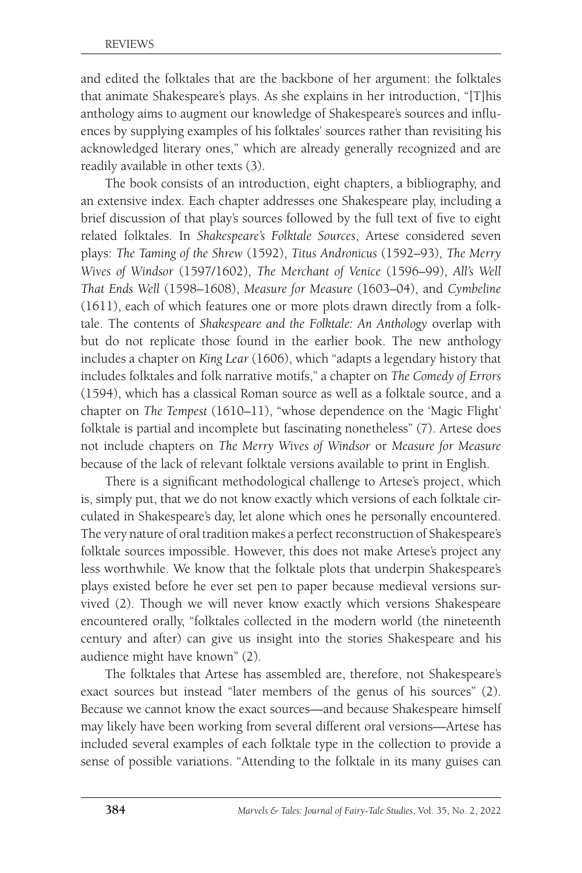and edited the folktales that are the backbone of her argument: the folktales that animate Shakespeare's plays. As she explains in her introduction, "[T]his anthology aims to augment our knowledge of Shakespeare's sources and influences by supplying examples of his folktales' sources rather than revisiting his acknowledged literary ones," which are already generally recognized and are readily available in other texts (3).

The book consists of an introduction, eight chapters, a bibliography, and an extensive index. Each chapter addresses one Shakespeare play, including a brief discussion of that play's sources followed by the full text of five to eight related folktales. In *Shakespeare's Folktale Sources*, Artese considered seven plays: *The Taming of the Shrew* (1592), *Titus Andronicus* (1592–93), *The Merry Wives of Windsor* (1597/1602), *The Merchant of Venice* (1596–99), *All's Well That Ends Well* (1598–1608), *Measure for Measure* (1603–04), and *Cymbeline* (1611), each of which features one or more plots drawn directly from a folktale. The contents of *Shakespeare and the Folktale: An Anthology* overlap with but do not replicate those found in the earlier book. The new anthology includes a chapter on *King Lear* (1606), which "adapts a legendary history that includes folktales and folk narrative motifs," a chapter on *The Comedy of Errors* (1594), which has a classical Roman source as well as a folktale source, and a chapter on *The Tempest* (1610–11), "whose dependence on the 'Magic Flight' folktale is partial and incomplete but fascinating nonetheless" (7). Artese does not include chapters on *The Merry Wives of Windsor* or *Measure for Measure* because of the lack of relevant folktale versions available to print in English.

There is a significant methodological challenge to Artese's project, which is, simply put, that we do not know exactly which versions of each folktale circulated in Shakespeare's day, let alone which ones he personally encountered. The very nature of oral tradition makes a perfect reconstruction of Shakespeare's folktale sources impossible. However, this does not make Artese's project any less worthwhile. We know that the folktale plots that underpin Shakespeare's plays existed before he ever set pen to paper because medieval versions survived (2). Though we will never know exactly which versions Shakespeare encountered orally, "folktales collected in the modern world (the nineteenth century and after) can give us insight into the stories Shakespeare and his audience might have known" (2).

The folktales that Artese has assembled are, therefore, not Shakespeare's exact sources but instead "later members of the genus of his sources" (2). Because we cannot know the exact sources—and because Shakespeare himself may likely have been working from several different oral versions—Artese has included several examples of each folktale type in the collection to provide a sense of possible variations. "Attending to the folktale in its many guises can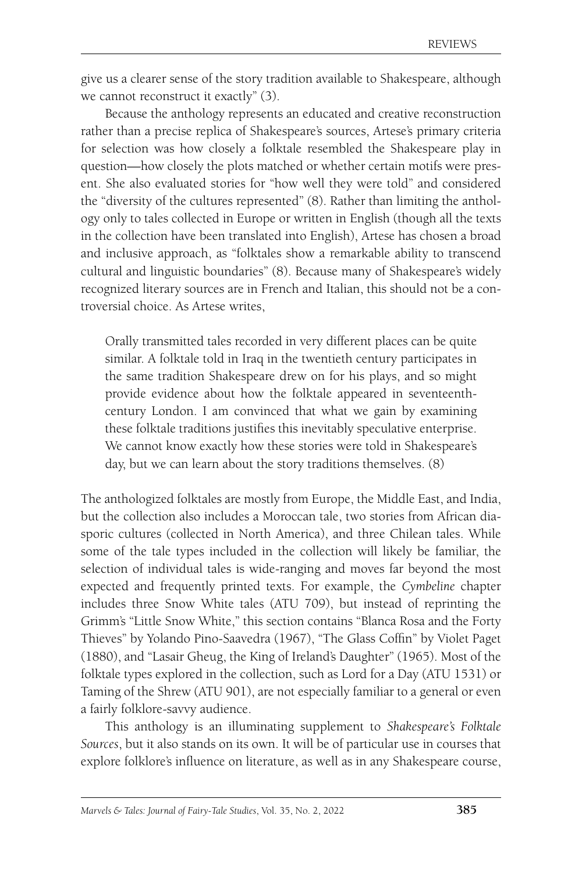give us a clearer sense of the story tradition available to Shakespeare, although we cannot reconstruct it exactly" (3).

Because the anthology represents an educated and creative reconstruction rather than a precise replica of Shakespeare's sources, Artese's primary criteria for selection was how closely a folktale resembled the Shakespeare play in question—how closely the plots matched or whether certain motifs were present. She also evaluated stories for "how well they were told" and considered the "diversity of the cultures represented" (8). Rather than limiting the anthology only to tales collected in Europe or written in English (though all the texts in the collection have been translated into English), Artese has chosen a broad and inclusive approach, as "folktales show a remarkable ability to transcend cultural and linguistic boundaries" (8). Because many of Shakespeare's widely recognized literary sources are in French and Italian, this should not be a controversial choice. As Artese writes,

Orally transmitted tales recorded in very different places can be quite similar. A folktale told in Iraq in the twentieth century participates in the same tradition Shakespeare drew on for his plays, and so might provide evidence about how the folktale appeared in seventeenthcentury London. I am convinced that what we gain by examining these folktale traditions justifies this inevitably speculative enterprise. We cannot know exactly how these stories were told in Shakespeare's day, but we can learn about the story traditions themselves. (8)

The anthologized folktales are mostly from Europe, the Middle East, and India, but the collection also includes a Moroccan tale, two stories from African diasporic cultures (collected in North America), and three Chilean tales. While some of the tale types included in the collection will likely be familiar, the selection of individual tales is wide-ranging and moves far beyond the most expected and frequently printed texts. For example, the *Cymbeline* chapter includes three Snow White tales (ATU 709), but instead of reprinting the Grimm's "Little Snow White," this section contains "Blanca Rosa and the Forty Thieves" by Yolando Pino-Saavedra (1967), "The Glass Coffin" by Violet Paget (1880), and "Lasair Gheug, the King of Ireland's Daughter" (1965). Most of the folktale types explored in the collection, such as Lord for a Day (ATU 1531) or Taming of the Shrew (ATU 901), are not especially familiar to a general or even a fairly folklore-savvy audience.

This anthology is an illuminating supplement to *Shakespeare's Folktale Sources*, but it also stands on its own. It will be of particular use in courses that explore folklore's influence on literature, as well as in any Shakespeare course,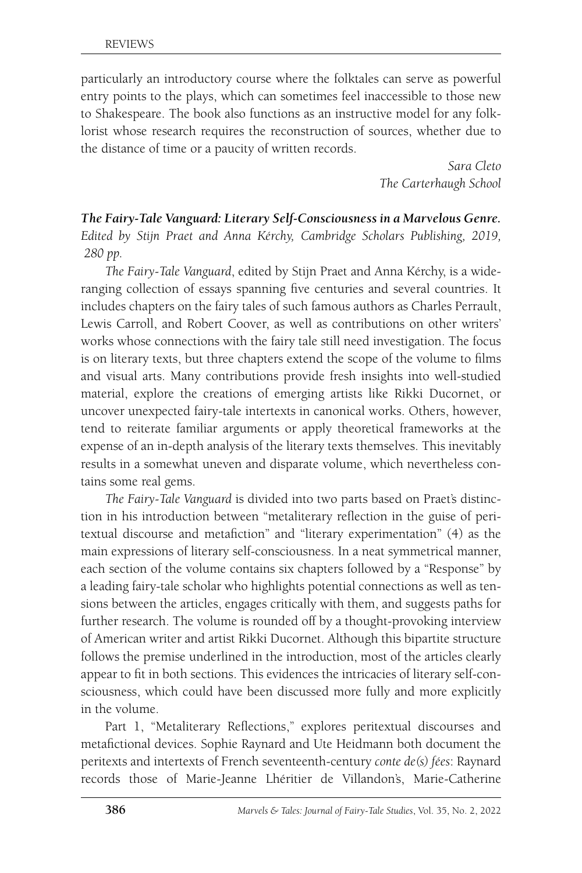particularly an introductory course where the folktales can serve as powerful entry points to the plays, which can sometimes feel inaccessible to those new to Shakespeare. The book also functions as an instructive model for any folklorist whose research requires the reconstruction of sources, whether due to the distance of time or a paucity of written records.

> *Sara Cleto The Carterhaugh School*

*The Fairy-Tale Vanguard: Literary Self-Consciousness in a Marvelous Genre. Edited by Stijn Praet and Anna Kérchy, Cambridge Scholars Publishing, 2019, 280 pp.*

*The Fairy-Tale Vanguard*, edited by Stijn Praet and Anna Kérchy, is a wideranging collection of essays spanning five centuries and several countries. It includes chapters on the fairy tales of such famous authors as Charles Perrault, Lewis Carroll, and Robert Coover, as well as contributions on other writers' works whose connections with the fairy tale still need investigation. The focus is on literary texts, but three chapters extend the scope of the volume to films and visual arts. Many contributions provide fresh insights into well-studied material, explore the creations of emerging artists like Rikki Ducornet, or uncover unexpected fairy-tale intertexts in canonical works. Others, however, tend to reiterate familiar arguments or apply theoretical frameworks at the expense of an in-depth analysis of the literary texts themselves. This inevitably results in a somewhat uneven and disparate volume, which nevertheless contains some real gems.

*The Fairy-Tale Vanguard* is divided into two parts based on Praet's distinction in his introduction between "metaliterary reflection in the guise of peritextual discourse and metafiction" and "literary experimentation" (4) as the main expressions of literary self-consciousness. In a neat symmetrical manner, each section of the volume contains six chapters followed by a "Response" by a leading fairy-tale scholar who highlights potential connections as well as tensions between the articles, engages critically with them, and suggests paths for further research. The volume is rounded off by a thought-provoking interview of American writer and artist Rikki Ducornet. Although this bipartite structure follows the premise underlined in the introduction, most of the articles clearly appear to fit in both sections. This evidences the intricacies of literary self-consciousness, which could have been discussed more fully and more explicitly in the volume.

Part 1, "Metaliterary Reflections," explores peritextual discourses and metafictional devices. Sophie Raynard and Ute Heidmann both document the peritexts and intertexts of French seventeenth-century *conte de(s) fées*: Raynard records those of Marie-Jeanne Lhéritier de Villandon's, Marie-Catherine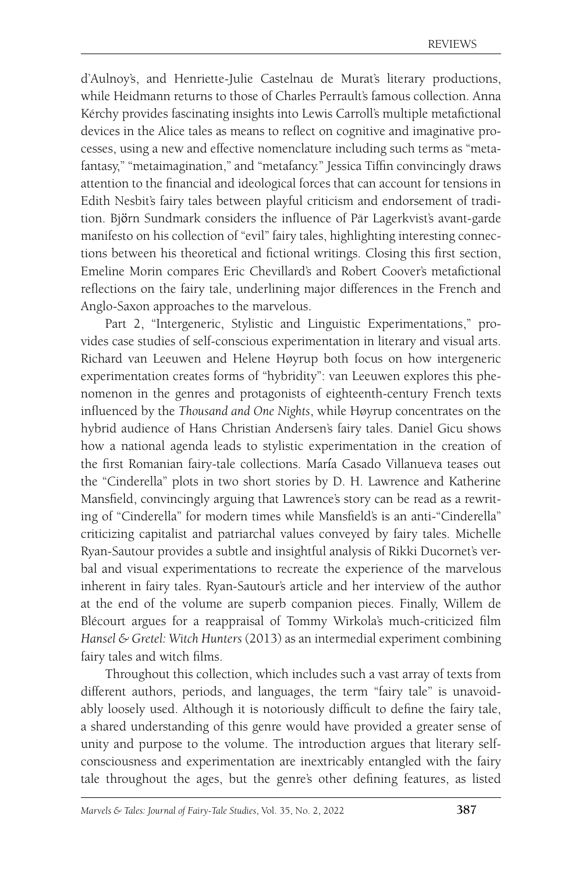d'Aulnoy's, and Henriette-Julie Castelnau de Murat's literary productions, while Heidmann returns to those of Charles Perrault's famous collection. Anna Kérchy provides fascinating insights into Lewis Carroll's multiple metafictional devices in the Alice tales as means to reflect on cognitive and imaginative processes, using a new and effective nomenclature including such terms as "metafantasy," "metaimagination," and "metafancy." Jessica Tiffin convincingly draws attention to the financial and ideological forces that can account for tensions in Edith Nesbit's fairy tales between playful criticism and endorsement of tradition. Björn Sundmark considers the influence of Pär Lagerkvist's avant-garde manifesto on his collection of "evil" fairy tales, highlighting interesting connections between his theoretical and fictional writings. Closing this first section, Emeline Morin compares Eric Chevillard's and Robert Coover's metafictional reflections on the fairy tale, underlining major differences in the French and Anglo-Saxon approaches to the marvelous.

Part 2, "Intergeneric, Stylistic and Linguistic Experimentations," provides case studies of self-conscious experimentation in literary and visual arts. Richard van Leeuwen and Helene Høyrup both focus on how intergeneric experimentation creates forms of "hybridity": van Leeuwen explores this phenomenon in the genres and protagonists of eighteenth-century French texts influenced by the *Thousand and One Nights*, while Høyrup concentrates on the hybrid audience of Hans Christian Andersen's fairy tales. Daniel Gicu shows how a national agenda leads to stylistic experimentation in the creation of the first Romanian fairy-tale collections. María Casado Villanueva teases out the "Cinderella" plots in two short stories by D. H. Lawrence and Katherine Mansfield, convincingly arguing that Lawrence's story can be read as a rewriting of "Cinderella" for modern times while Mansfield's is an anti-"Cinderella" criticizing capitalist and patriarchal values conveyed by fairy tales. Michelle Ryan-Sautour provides a subtle and insightful analysis of Rikki Ducornet's verbal and visual experimentations to recreate the experience of the marvelous inherent in fairy tales. Ryan-Sautour's article and her interview of the author at the end of the volume are superb companion pieces. Finally, Willem de Blécourt argues for a reappraisal of Tommy Wirkola's much-criticized film *Hansel & Gretel: Witch Hunters* (2013) as an intermedial experiment combining fairy tales and witch films.

Throughout this collection, which includes such a vast array of texts from different authors, periods, and languages, the term "fairy tale" is unavoidably loosely used. Although it is notoriously difficult to define the fairy tale, a shared understanding of this genre would have provided a greater sense of unity and purpose to the volume. The introduction argues that literary selfconsciousness and experimentation are inextricably entangled with the fairy tale throughout the ages, but the genre's other defining features, as listed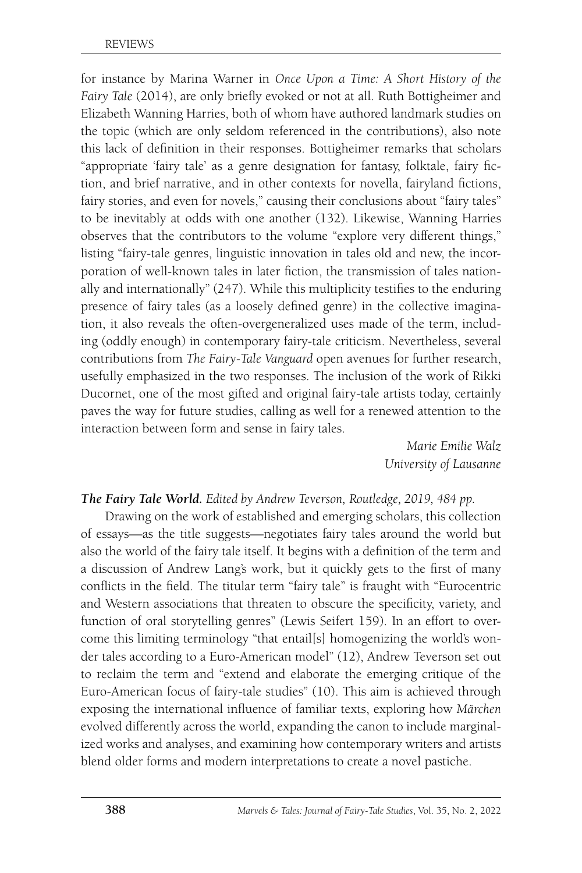for instance by Marina Warner in *Once Upon a Time: A Short History of the Fairy Tale* (2014), are only briefly evoked or not at all. Ruth Bottigheimer and Elizabeth Wanning Harries, both of whom have authored landmark studies on the topic (which are only seldom referenced in the contributions), also note this lack of definition in their responses. Bottigheimer remarks that scholars "appropriate 'fairy tale' as a genre designation for fantasy, folktale, fairy fiction, and brief narrative, and in other contexts for novella, fairyland fictions, fairy stories, and even for novels," causing their conclusions about "fairy tales" to be inevitably at odds with one another (132). Likewise, Wanning Harries observes that the contributors to the volume "explore very different things," listing "fairy-tale genres, linguistic innovation in tales old and new, the incorporation of well-known tales in later fiction, the transmission of tales nationally and internationally" (247). While this multiplicity testifies to the enduring presence of fairy tales (as a loosely defined genre) in the collective imagination, it also reveals the often-overgeneralized uses made of the term, including (oddly enough) in contemporary fairy-tale criticism. Nevertheless, several contributions from *The Fairy-Tale Vanguard* open avenues for further research, usefully emphasized in the two responses. The inclusion of the work of Rikki Ducornet, one of the most gifted and original fairy-tale artists today, certainly paves the way for future studies, calling as well for a renewed attention to the interaction between form and sense in fairy tales.

> *Marie Emilie Walz University of Lausanne*

#### *The Fairy Tale World. Edited by Andrew Teverson, Routledge, 2019, 484 pp.*

Drawing on the work of established and emerging scholars, this collection of essays—as the title suggests—negotiates fairy tales around the world but also the world of the fairy tale itself. It begins with a definition of the term and a discussion of Andrew Lang's work, but it quickly gets to the first of many conflicts in the field. The titular term "fairy tale" is fraught with "Eurocentric and Western associations that threaten to obscure the specificity, variety, and function of oral storytelling genres" (Lewis Seifert 159). In an effort to overcome this limiting terminology "that entail[s] homogenizing the world's wonder tales according to a Euro-American model" (12), Andrew Teverson set out to reclaim the term and "extend and elaborate the emerging critique of the Euro-American focus of fairy-tale studies" (10). This aim is achieved through exposing the international influence of familiar texts, exploring how *Märchen* evolved differently across the world, expanding the canon to include marginalized works and analyses, and examining how contemporary writers and artists blend older forms and modern interpretations to create a novel pastiche.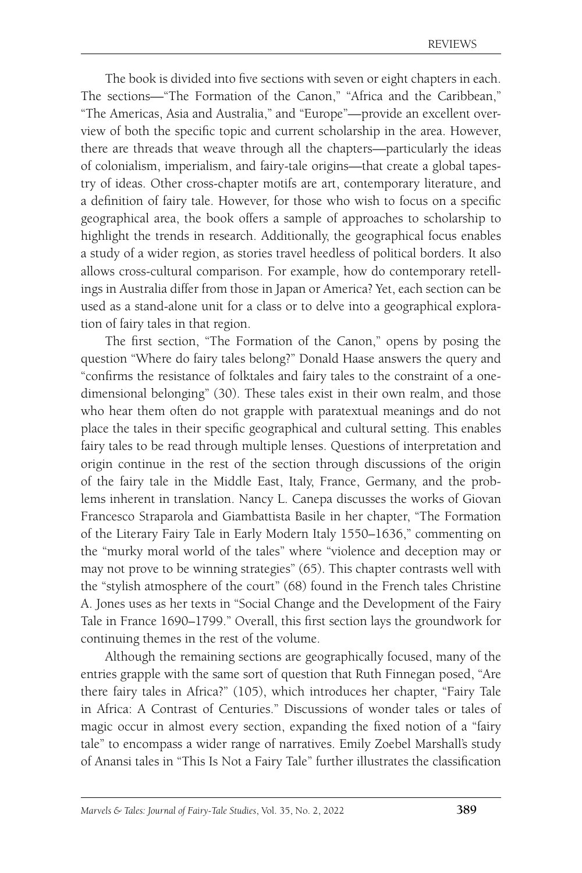The book is divided into five sections with seven or eight chapters in each. The sections—"The Formation of the Canon," "Africa and the Caribbean," "The Americas, Asia and Australia," and "Europe"—provide an excellent overview of both the specific topic and current scholarship in the area. However, there are threads that weave through all the chapters—particularly the ideas of colonialism, imperialism, and fairy-tale origins—that create a global tapestry of ideas. Other cross-chapter motifs are art, contemporary literature, and a definition of fairy tale. However, for those who wish to focus on a specific geographical area, the book offers a sample of approaches to scholarship to highlight the trends in research. Additionally, the geographical focus enables a study of a wider region, as stories travel heedless of political borders. It also allows cross-cultural comparison. For example, how do contemporary retellings in Australia differ from those in Japan or America? Yet, each section can be used as a stand-alone unit for a class or to delve into a geographical exploration of fairy tales in that region.

The first section, "The Formation of the Canon," opens by posing the question "Where do fairy tales belong?" Donald Haase answers the query and "confirms the resistance of folktales and fairy tales to the constraint of a onedimensional belonging" (30). These tales exist in their own realm, and those who hear them often do not grapple with paratextual meanings and do not place the tales in their specific geographical and cultural setting. This enables fairy tales to be read through multiple lenses. Questions of interpretation and origin continue in the rest of the section through discussions of the origin of the fairy tale in the Middle East, Italy, France, Germany, and the problems inherent in translation. Nancy L. Canepa discusses the works of Giovan Francesco Straparola and Giambattista Basile in her chapter, "The Formation of the Literary Fairy Tale in Early Modern Italy 1550–1636," commenting on the "murky moral world of the tales" where "violence and deception may or may not prove to be winning strategies" (65). This chapter contrasts well with the "stylish atmosphere of the court" (68) found in the French tales Christine A. Jones uses as her texts in "Social Change and the Development of the Fairy Tale in France 1690–1799." Overall, this first section lays the groundwork for continuing themes in the rest of the volume.

Although the remaining sections are geographically focused, many of the entries grapple with the same sort of question that Ruth Finnegan posed, "Are there fairy tales in Africa?" (105), which introduces her chapter, "Fairy Tale in Africa: A Contrast of Centuries." Discussions of wonder tales or tales of magic occur in almost every section, expanding the fixed notion of a "fairy tale" to encompass a wider range of narratives. Emily Zoebel Marshall's study of Anansi tales in "This Is Not a Fairy Tale" further illustrates the classification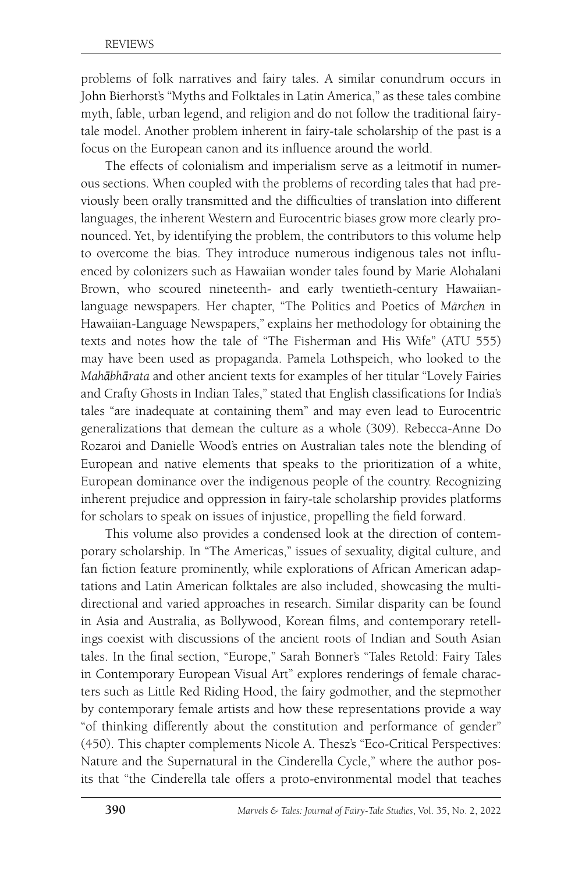problems of folk narratives and fairy tales. A similar conundrum occurs in John Bierhorst's "Myths and Folktales in Latin America," as these tales combine myth, fable, urban legend, and religion and do not follow the traditional fairytale model. Another problem inherent in fairy-tale scholarship of the past is a focus on the European canon and its influence around the world.

The effects of colonialism and imperialism serve as a leitmotif in numerous sections. When coupled with the problems of recording tales that had previously been orally transmitted and the difficulties of translation into different languages, the inherent Western and Eurocentric biases grow more clearly pronounced. Yet, by identifying the problem, the contributors to this volume help to overcome the bias. They introduce numerous indigenous tales not influenced by colonizers such as Hawaiian wonder tales found by Marie Alohalani Brown, who scoured nineteenth- and early twentieth-century Hawaiianlanguage newspapers. Her chapter, "The Politics and Poetics of *Märchen* in Hawaiian-Language Newspapers," explains her methodology for obtaining the texts and notes how the tale of "The Fisherman and His Wife" (ATU 555) may have been used as propaganda. Pamela Lothspeich, who looked to the *Mahābhārata* and other ancient texts for examples of her titular "Lovely Fairies and Crafty Ghosts in Indian Tales," stated that English classifications for India's tales "are inadequate at containing them" and may even lead to Eurocentric generalizations that demean the culture as a whole (309). Rebecca-Anne Do Rozaroi and Danielle Wood's entries on Australian tales note the blending of European and native elements that speaks to the prioritization of a white, European dominance over the indigenous people of the country. Recognizing inherent prejudice and oppression in fairy-tale scholarship provides platforms for scholars to speak on issues of injustice, propelling the field forward.

This volume also provides a condensed look at the direction of contemporary scholarship. In "The Americas," issues of sexuality, digital culture, and fan fiction feature prominently, while explorations of African American adaptations and Latin American folktales are also included, showcasing the multidirectional and varied approaches in research. Similar disparity can be found in Asia and Australia, as Bollywood, Korean films, and contemporary retellings coexist with discussions of the ancient roots of Indian and South Asian tales. In the final section, "Europe," Sarah Bonner's "Tales Retold: Fairy Tales in Contemporary European Visual Art" explores renderings of female characters such as Little Red Riding Hood, the fairy godmother, and the stepmother by contemporary female artists and how these representations provide a way "of thinking differently about the constitution and performance of gender" (450). This chapter complements Nicole A. Thesz's "Eco-Critical Perspectives: Nature and the Supernatural in the Cinderella Cycle," where the author posits that "the Cinderella tale offers a proto-environmental model that teaches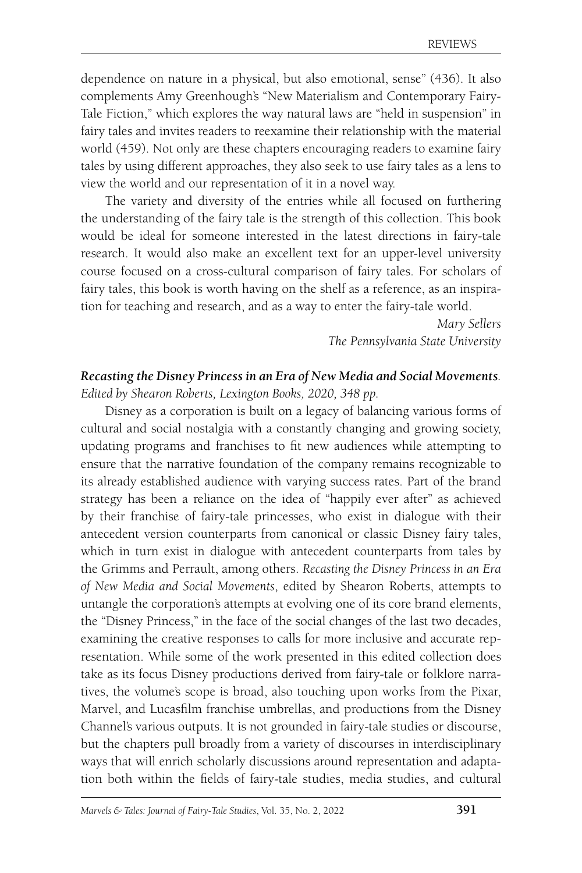dependence on nature in a physical, but also emotional, sense" (436). It also complements Amy Greenhough's "New Materialism and Contemporary Fairy-Tale Fiction," which explores the way natural laws are "held in suspension" in fairy tales and invites readers to reexamine their relationship with the material world (459). Not only are these chapters encouraging readers to examine fairy tales by using different approaches, they also seek to use fairy tales as a lens to view the world and our representation of it in a novel way.

The variety and diversity of the entries while all focused on furthering the understanding of the fairy tale is the strength of this collection. This book would be ideal for someone interested in the latest directions in fairy-tale research. It would also make an excellent text for an upper-level university course focused on a cross-cultural comparison of fairy tales. For scholars of fairy tales, this book is worth having on the shelf as a reference, as an inspiration for teaching and research, and as a way to enter the fairy-tale world.

> *Mary Sellers The Pennsylvania State University*

## *Recasting the Disney Princess in an Era of New Media and Social Movements.*

*Edited by Shearon Roberts, Lexington Books, 2020, 348 pp.*

Disney as a corporation is built on a legacy of balancing various forms of cultural and social nostalgia with a constantly changing and growing society, updating programs and franchises to fit new audiences while attempting to ensure that the narrative foundation of the company remains recognizable to its already established audience with varying success rates. Part of the brand strategy has been a reliance on the idea of "happily ever after" as achieved by their franchise of fairy-tale princesses, who exist in dialogue with their antecedent version counterparts from canonical or classic Disney fairy tales, which in turn exist in dialogue with antecedent counterparts from tales by the Grimms and Perrault, among others. *Recasting the Disney Princess in an Era of New Media and Social Movements*, edited by Shearon Roberts, attempts to untangle the corporation's attempts at evolving one of its core brand elements, the "Disney Princess," in the face of the social changes of the last two decades, examining the creative responses to calls for more inclusive and accurate representation. While some of the work presented in this edited collection does take as its focus Disney productions derived from fairy-tale or folklore narratives, the volume's scope is broad, also touching upon works from the Pixar, Marvel, and Lucasfilm franchise umbrellas, and productions from the Disney Channel's various outputs. It is not grounded in fairy-tale studies or discourse, but the chapters pull broadly from a variety of discourses in interdisciplinary ways that will enrich scholarly discussions around representation and adaptation both within the fields of fairy-tale studies, media studies, and cultural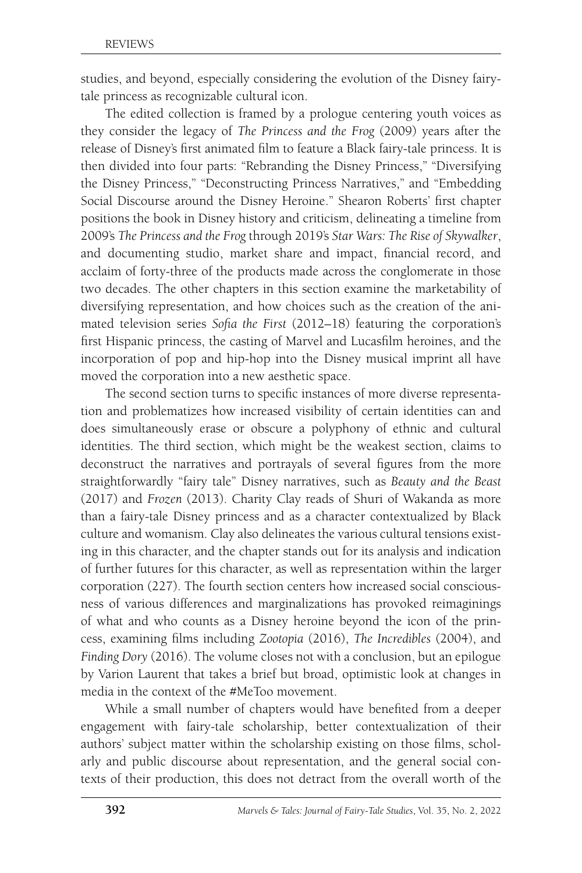studies, and beyond, especially considering the evolution of the Disney fairytale princess as recognizable cultural icon.

The edited collection is framed by a prologue centering youth voices as they consider the legacy of *The Princess and the Frog* (2009) years after the release of Disney's first animated film to feature a Black fairy-tale princess. It is then divided into four parts: "Rebranding the Disney Princess," "Diversifying the Disney Princess," "Deconstructing Princess Narratives," and "Embedding Social Discourse around the Disney Heroine." Shearon Roberts' first chapter positions the book in Disney history and criticism, delineating a timeline from 2009's *The Princess and the Frog* through 2019's *Star Wars: The Rise of Skywalker*, and documenting studio, market share and impact, financial record, and acclaim of forty-three of the products made across the conglomerate in those two decades. The other chapters in this section examine the marketability of diversifying representation, and how choices such as the creation of the animated television series *Sofia the First* (2012–18) featuring the corporation's first Hispanic princess, the casting of Marvel and Lucasfilm heroines, and the incorporation of pop and hip-hop into the Disney musical imprint all have moved the corporation into a new aesthetic space.

The second section turns to specific instances of more diverse representation and problematizes how increased visibility of certain identities can and does simultaneously erase or obscure a polyphony of ethnic and cultural identities. The third section, which might be the weakest section, claims to deconstruct the narratives and portrayals of several figures from the more straightforwardly "fairy tale" Disney narratives, such as *Beauty and the Beast* (2017) and *Frozen* (2013). Charity Clay reads of Shuri of Wakanda as more than a fairy-tale Disney princess and as a character contextualized by Black culture and womanism. Clay also delineates the various cultural tensions existing in this character, and the chapter stands out for its analysis and indication of further futures for this character, as well as representation within the larger corporation (227). The fourth section centers how increased social consciousness of various differences and marginalizations has provoked reimaginings of what and who counts as a Disney heroine beyond the icon of the princess, examining films including *Zootopia* (2016), *The Incredibles* (2004), and *Finding Dory* (2016). The volume closes not with a conclusion, but an epilogue by Varion Laurent that takes a brief but broad, optimistic look at changes in media in the context of the #MeToo movement.

While a small number of chapters would have benefited from a deeper engagement with fairy-tale scholarship, better contextualization of their authors' subject matter within the scholarship existing on those films, scholarly and public discourse about representation, and the general social contexts of their production, this does not detract from the overall worth of the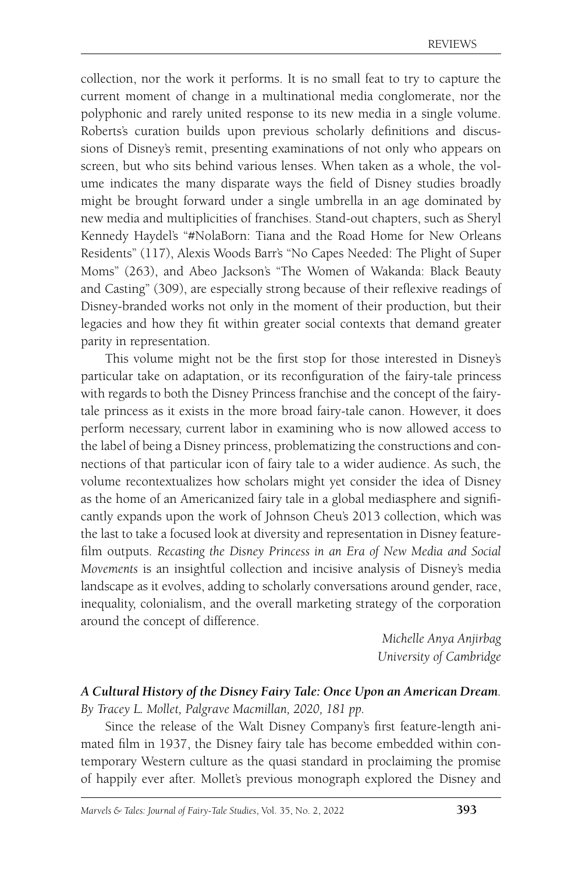collection, nor the work it performs. It is no small feat to try to capture the current moment of change in a multinational media conglomerate, nor the polyphonic and rarely united response to its new media in a single volume. Roberts's curation builds upon previous scholarly definitions and discussions of Disney's remit, presenting examinations of not only who appears on screen, but who sits behind various lenses. When taken as a whole, the volume indicates the many disparate ways the field of Disney studies broadly might be brought forward under a single umbrella in an age dominated by new media and multiplicities of franchises. Stand-out chapters, such as Sheryl Kennedy Haydel's "#NolaBorn: Tiana and the Road Home for New Orleans Residents" (117), Alexis Woods Barr's "No Capes Needed: The Plight of Super Moms" (263), and Abeo Jackson's "The Women of Wakanda: Black Beauty and Casting" (309), are especially strong because of their reflexive readings of Disney-branded works not only in the moment of their production, but their legacies and how they fit within greater social contexts that demand greater parity in representation.

This volume might not be the first stop for those interested in Disney's particular take on adaptation, or its reconfiguration of the fairy-tale princess with regards to both the Disney Princess franchise and the concept of the fairytale princess as it exists in the more broad fairy-tale canon. However, it does perform necessary, current labor in examining who is now allowed access to the label of being a Disney princess, problematizing the constructions and connections of that particular icon of fairy tale to a wider audience. As such, the volume recontextualizes how scholars might yet consider the idea of Disney as the home of an Americanized fairy tale in a global mediasphere and significantly expands upon the work of Johnson Cheu's 2013 collection, which was the last to take a focused look at diversity and representation in Disney featurefilm outputs. *Recasting the Disney Princess in an Era of New Media and Social Movements* is an insightful collection and incisive analysis of Disney's media landscape as it evolves, adding to scholarly conversations around gender, race, inequality, colonialism, and the overall marketing strategy of the corporation around the concept of difference.

> *Michelle Anya Anjirbag University of Cambridge*

### *A Cultural History of the Disney Fairy Tale: Once Upon an American Dream.*

*By Tracey L. Mollet, Palgrave Macmillan, 2020, 181 pp.*

Since the release of the Walt Disney Company's first feature-length animated film in 1937, the Disney fairy tale has become embedded within contemporary Western culture as the quasi standard in proclaiming the promise of happily ever after. Mollet's previous monograph explored the Disney and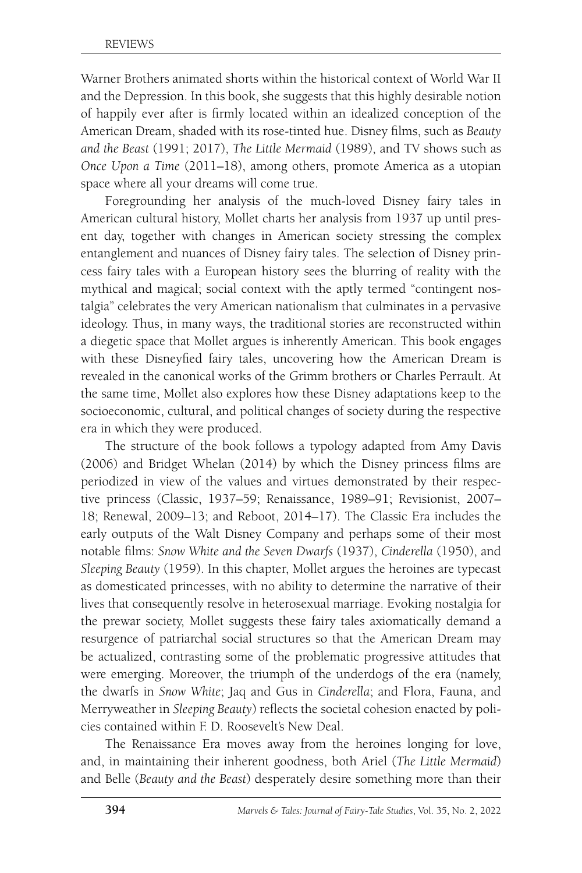Warner Brothers animated shorts within the historical context of World War II and the Depression. In this book, she suggests that this highly desirable notion of happily ever after is firmly located within an idealized conception of the American Dream, shaded with its rose-tinted hue. Disney films, such as *Beauty and the Beast* (1991; 2017), *The Little Mermaid* (1989), and TV shows such as *Once Upon a Time* (2011–18), among others, promote America as a utopian space where all your dreams will come true.

Foregrounding her analysis of the much-loved Disney fairy tales in American cultural history, Mollet charts her analysis from 1937 up until present day, together with changes in American society stressing the complex entanglement and nuances of Disney fairy tales. The selection of Disney princess fairy tales with a European history sees the blurring of reality with the mythical and magical; social context with the aptly termed "contingent nostalgia" celebrates the very American nationalism that culminates in a pervasive ideology. Thus, in many ways, the traditional stories are reconstructed within a diegetic space that Mollet argues is inherently American. This book engages with these Disneyfied fairy tales, uncovering how the American Dream is revealed in the canonical works of the Grimm brothers or Charles Perrault. At the same time, Mollet also explores how these Disney adaptations keep to the socioeconomic, cultural, and political changes of society during the respective era in which they were produced.

The structure of the book follows a typology adapted from Amy Davis (2006) and Bridget Whelan (2014) by which the Disney princess films are periodized in view of the values and virtues demonstrated by their respective princess (Classic, 1937–59; Renaissance, 1989–91; Revisionist, 2007– 18; Renewal, 2009–13; and Reboot, 2014–17). The Classic Era includes the early outputs of the Walt Disney Company and perhaps some of their most notable films: *Snow White and the Seven Dwarfs* (1937), *Cinderella* (1950), and *Sleeping Beauty* (1959). In this chapter, Mollet argues the heroines are typecast as domesticated princesses, with no ability to determine the narrative of their lives that consequently resolve in heterosexual marriage. Evoking nostalgia for the prewar society, Mollet suggests these fairy tales axiomatically demand a resurgence of patriarchal social structures so that the American Dream may be actualized, contrasting some of the problematic progressive attitudes that were emerging. Moreover, the triumph of the underdogs of the era (namely, the dwarfs in *Snow White*; Jaq and Gus in *Cinderella*; and Flora, Fauna, and Merryweather in *Sleeping Beauty*) reflects the societal cohesion enacted by policies contained within F. D. Roosevelt's New Deal.

The Renaissance Era moves away from the heroines longing for love, and, in maintaining their inherent goodness, both Ariel (*The Little Mermaid*) and Belle (*Beauty and the Beast*) desperately desire something more than their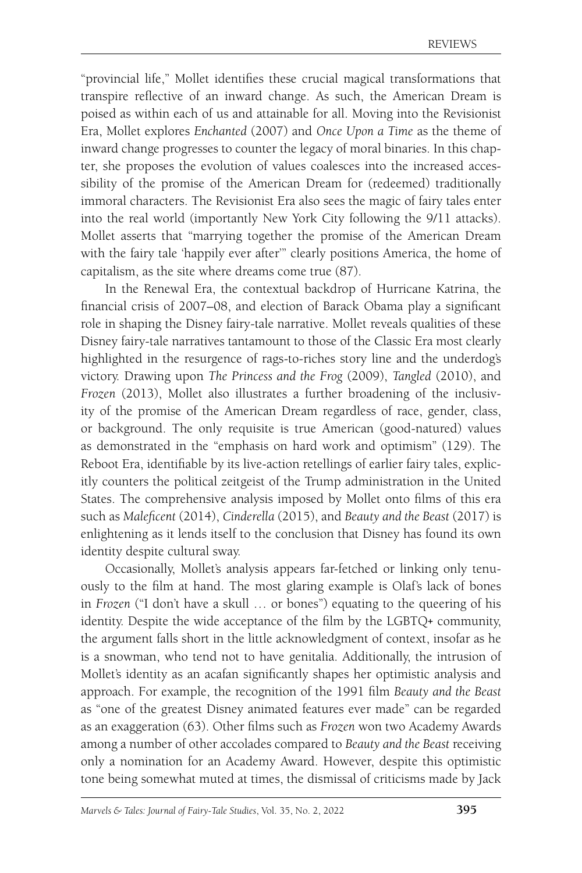"provincial life," Mollet identifies these crucial magical transformations that transpire reflective of an inward change. As such, the American Dream is poised as within each of us and attainable for all. Moving into the Revisionist Era, Mollet explores *Enchanted* (2007) and *Once Upon a Time* as the theme of inward change progresses to counter the legacy of moral binaries. In this chapter, she proposes the evolution of values coalesces into the increased accessibility of the promise of the American Dream for (redeemed) traditionally immoral characters. The Revisionist Era also sees the magic of fairy tales enter into the real world (importantly New York City following the 9/11 attacks). Mollet asserts that "marrying together the promise of the American Dream with the fairy tale 'happily ever after'" clearly positions America, the home of capitalism, as the site where dreams come true (87).

In the Renewal Era, the contextual backdrop of Hurricane Katrina, the financial crisis of 2007–08, and election of Barack Obama play a significant role in shaping the Disney fairy-tale narrative. Mollet reveals qualities of these Disney fairy-tale narratives tantamount to those of the Classic Era most clearly highlighted in the resurgence of rags-to-riches story line and the underdog's victory. Drawing upon *The Princess and the Frog* (2009), *Tangled* (2010), and *Frozen* (2013), Mollet also illustrates a further broadening of the inclusivity of the promise of the American Dream regardless of race, gender, class, or background. The only requisite is true American (good-natured) values as demonstrated in the "emphasis on hard work and optimism" (129). The Reboot Era, identifiable by its live-action retellings of earlier fairy tales, explicitly counters the political zeitgeist of the Trump administration in the United States. The comprehensive analysis imposed by Mollet onto films of this era such as *Maleficent* (2014), *Cinderella* (2015), and *Beauty and the Beast* (2017) is enlightening as it lends itself to the conclusion that Disney has found its own identity despite cultural sway.

Occasionally, Mollet's analysis appears far-fetched or linking only tenuously to the film at hand. The most glaring example is Olaf's lack of bones in *Frozen* ("I don't have a skull … or bones") equating to the queering of his identity. Despite the wide acceptance of the film by the LGBTQ+ community, the argument falls short in the little acknowledgment of context, insofar as he is a snowman, who tend not to have genitalia. Additionally, the intrusion of Mollet's identity as an acafan significantly shapes her optimistic analysis and approach. For example, the recognition of the 1991 film *Beauty and the Beast* as "one of the greatest Disney animated features ever made" can be regarded as an exaggeration (63). Other films such as *Frozen* won two Academy Awards among a number of other accolades compared to *Beauty and the Beast* receiving only a nomination for an Academy Award. However, despite this optimistic tone being somewhat muted at times, the dismissal of criticisms made by Jack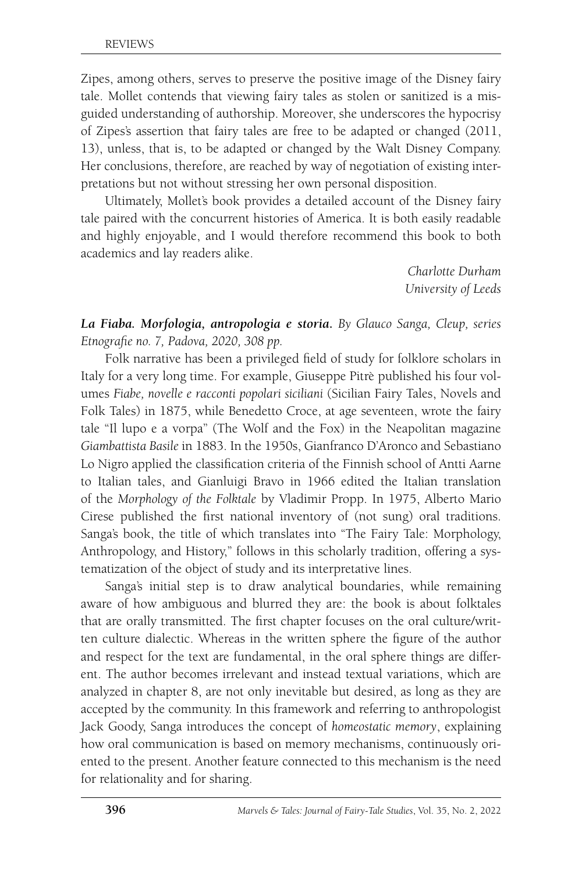Zipes, among others, serves to preserve the positive image of the Disney fairy tale. Mollet contends that viewing fairy tales as stolen or sanitized is a misguided understanding of authorship. Moreover, she underscores the hypocrisy of Zipes's assertion that fairy tales are free to be adapted or changed (2011, 13), unless, that is, to be adapted or changed by the Walt Disney Company. Her conclusions, therefore, are reached by way of negotiation of existing interpretations but not without stressing her own personal disposition.

Ultimately, Mollet's book provides a detailed account of the Disney fairy tale paired with the concurrent histories of America. It is both easily readable and highly enjoyable, and I would therefore recommend this book to both academics and lay readers alike.

> *Charlotte Durham University of Leeds*

*La Fiaba. Morfologia, antropologia e storia***.** *By Glauco Sanga, Cleup, series Etnografie no. 7, Padova, 2020, 308 pp.*

Folk narrative has been a privileged field of study for folklore scholars in Italy for a very long time. For example, Giuseppe Pitrè published his four volumes *Fiabe, novelle e racconti popolari siciliani* (Sicilian Fairy Tales, Novels and Folk Tales) in 1875, while Benedetto Croce, at age seventeen, wrote the fairy tale "Il lupo e a vorpa" (The Wolf and the Fox) in the Neapolitan magazine *Giambattista Basile* in 1883. In the 1950s, Gianfranco D'Aronco and Sebastiano Lo Nigro applied the classification criteria of the Finnish school of Antti Aarne to Italian tales, and Gianluigi Bravo in 1966 edited the Italian translation of the *Morphology of the Folktale* by Vladimir Propp. In 1975, Alberto Mario Cirese published the first national inventory of (not sung) oral traditions. Sanga's book, the title of which translates into "The Fairy Tale: Morphology, Anthropology, and History," follows in this scholarly tradition, offering a systematization of the object of study and its interpretative lines.

Sanga's initial step is to draw analytical boundaries, while remaining aware of how ambiguous and blurred they are: the book is about folktales that are orally transmitted. The first chapter focuses on the oral culture/written culture dialectic. Whereas in the written sphere the figure of the author and respect for the text are fundamental, in the oral sphere things are different. The author becomes irrelevant and instead textual variations, which are analyzed in chapter 8, are not only inevitable but desired, as long as they are accepted by the community. In this framework and referring to anthropologist Jack Goody, Sanga introduces the concept of *homeostatic memory*, explaining how oral communication is based on memory mechanisms, continuously oriented to the present. Another feature connected to this mechanism is the need for relationality and for sharing.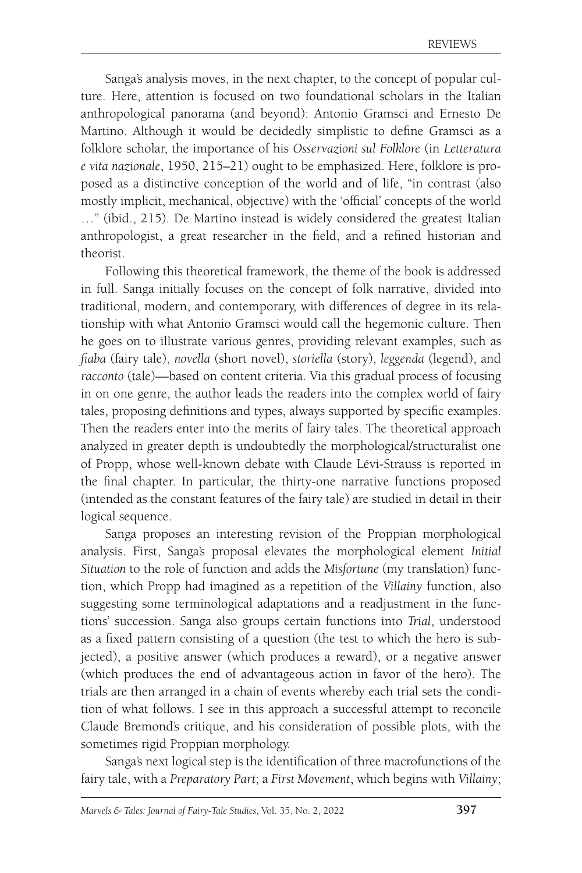Sanga's analysis moves, in the next chapter, to the concept of popular culture. Here, attention is focused on two foundational scholars in the Italian anthropological panorama (and beyond): Antonio Gramsci and Ernesto De Martino. Although it would be decidedly simplistic to define Gramsci as a folklore scholar, the importance of his *Osservazioni sul Folklore* (in *Letteratura e vita nazionale*, 1950, 215–21) ought to be emphasized. Here, folklore is proposed as a distinctive conception of the world and of life, "in contrast (also mostly implicit, mechanical, objective) with the 'official' concepts of the world …" (ibid., 215). De Martino instead is widely considered the greatest Italian anthropologist, a great researcher in the field, and a refined historian and theorist.

Following this theoretical framework, the theme of the book is addressed in full. Sanga initially focuses on the concept of folk narrative, divided into traditional, modern, and contemporary, with differences of degree in its relationship with what Antonio Gramsci would call the hegemonic culture. Then he goes on to illustrate various genres, providing relevant examples, such as *fiaba* (fairy tale), *novella* (short novel), *storiella* (story), *leggenda* (legend), and *racconto* (tale)—based on content criteria. Via this gradual process of focusing in on one genre, the author leads the readers into the complex world of fairy tales, proposing definitions and types, always supported by specific examples. Then the readers enter into the merits of fairy tales. The theoretical approach analyzed in greater depth is undoubtedly the morphological/structuralist one of Propp, whose well-known debate with Claude Lévi-Strauss is reported in the final chapter. In particular, the thirty-one narrative functions proposed (intended as the constant features of the fairy tale) are studied in detail in their logical sequence.

Sanga proposes an interesting revision of the Proppian morphological analysis. First, Sanga's proposal elevates the morphological element *Initial Situation* to the role of function and adds the *Misfortune* (my translation) function, which Propp had imagined as a repetition of the *Villainy* function, also suggesting some terminological adaptations and a readjustment in the functions' succession. Sanga also groups certain functions into *Trial*, understood as a fixed pattern consisting of a question (the test to which the hero is subjected), a positive answer (which produces a reward), or a negative answer (which produces the end of advantageous action in favor of the hero). The trials are then arranged in a chain of events whereby each trial sets the condition of what follows. I see in this approach a successful attempt to reconcile Claude Bremond's critique, and his consideration of possible plots, with the sometimes rigid Proppian morphology.

Sanga's next logical step is the identification of three macrofunctions of the fairy tale, with a *Preparatory Part*; a *First Movement*, which begins with *Villainy*;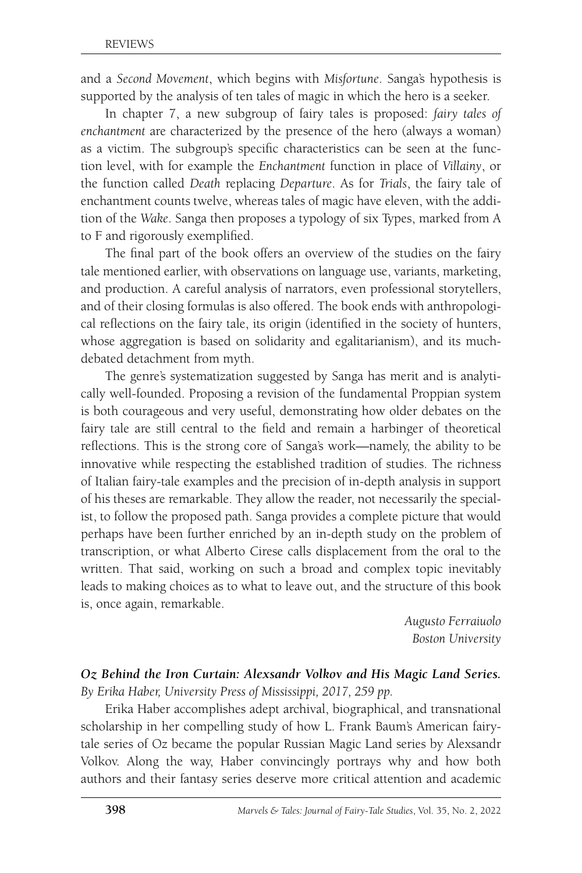and a *Second Movement*, which begins with *Misfortune*. Sanga's hypothesis is supported by the analysis of ten tales of magic in which the hero is a seeker.

In chapter 7, a new subgroup of fairy tales is proposed: *fairy tales of enchantment* are characterized by the presence of the hero (always a woman) as a victim. The subgroup's specific characteristics can be seen at the function level, with for example the *Enchantment* function in place of *Villainy*, or the function called *Death* replacing *Departure*. As for *Trials*, the fairy tale of enchantment counts twelve, whereas tales of magic have eleven, with the addition of the *Wake*. Sanga then proposes a typology of six Types, marked from A to F and rigorously exemplified.

The final part of the book offers an overview of the studies on the fairy tale mentioned earlier, with observations on language use, variants, marketing, and production. A careful analysis of narrators, even professional storytellers, and of their closing formulas is also offered. The book ends with anthropological reflections on the fairy tale, its origin (identified in the society of hunters, whose aggregation is based on solidarity and egalitarianism), and its muchdebated detachment from myth.

The genre's systematization suggested by Sanga has merit and is analytically well-founded. Proposing a revision of the fundamental Proppian system is both courageous and very useful, demonstrating how older debates on the fairy tale are still central to the field and remain a harbinger of theoretical reflections. This is the strong core of Sanga's work—namely, the ability to be innovative while respecting the established tradition of studies. The richness of Italian fairy-tale examples and the precision of in-depth analysis in support of his theses are remarkable. They allow the reader, not necessarily the specialist, to follow the proposed path. Sanga provides a complete picture that would perhaps have been further enriched by an in-depth study on the problem of transcription, or what Alberto Cirese calls displacement from the oral to the written. That said, working on such a broad and complex topic inevitably leads to making choices as to what to leave out, and the structure of this book is, once again, remarkable.

> *Augusto Ferraiuolo Boston University*

#### *Oz Behind the Iron Curtain: Alexsandr Volkov and His Magic Land Series. By Erika Haber, University Press of Mississippi, 2017, 259 pp.*

Erika Haber accomplishes adept archival, biographical, and transnational scholarship in her compelling study of how L. Frank Baum's American fairytale series of Oz became the popular Russian Magic Land series by Alexsandr Volkov. Along the way, Haber convincingly portrays why and how both authors and their fantasy series deserve more critical attention and academic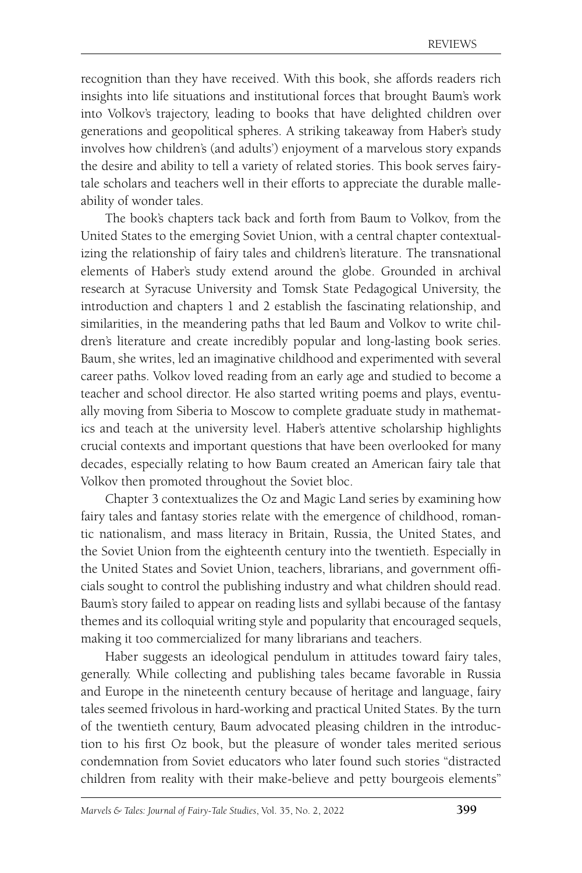recognition than they have received. With this book, she affords readers rich insights into life situations and institutional forces that brought Baum's work into Volkov's trajectory, leading to books that have delighted children over generations and geopolitical spheres. A striking takeaway from Haber's study involves how children's (and adults') enjoyment of a marvelous story expands the desire and ability to tell a variety of related stories. This book serves fairytale scholars and teachers well in their efforts to appreciate the durable malleability of wonder tales.

The book's chapters tack back and forth from Baum to Volkov, from the United States to the emerging Soviet Union, with a central chapter contextualizing the relationship of fairy tales and children's literature. The transnational elements of Haber's study extend around the globe. Grounded in archival research at Syracuse University and Tomsk State Pedagogical University, the introduction and chapters 1 and 2 establish the fascinating relationship, and similarities, in the meandering paths that led Baum and Volkov to write children's literature and create incredibly popular and long-lasting book series. Baum, she writes, led an imaginative childhood and experimented with several career paths. Volkov loved reading from an early age and studied to become a teacher and school director. He also started writing poems and plays, eventually moving from Siberia to Moscow to complete graduate study in mathematics and teach at the university level. Haber's attentive scholarship highlights crucial contexts and important questions that have been overlooked for many decades, especially relating to how Baum created an American fairy tale that Volkov then promoted throughout the Soviet bloc.

Chapter 3 contextualizes the Oz and Magic Land series by examining how fairy tales and fantasy stories relate with the emergence of childhood, romantic nationalism, and mass literacy in Britain, Russia, the United States, and the Soviet Union from the eighteenth century into the twentieth. Especially in the United States and Soviet Union, teachers, librarians, and government officials sought to control the publishing industry and what children should read. Baum's story failed to appear on reading lists and syllabi because of the fantasy themes and its colloquial writing style and popularity that encouraged sequels, making it too commercialized for many librarians and teachers.

Haber suggests an ideological pendulum in attitudes toward fairy tales, generally. While collecting and publishing tales became favorable in Russia and Europe in the nineteenth century because of heritage and language, fairy tales seemed frivolous in hard-working and practical United States. By the turn of the twentieth century, Baum advocated pleasing children in the introduction to his first Oz book, but the pleasure of wonder tales merited serious condemnation from Soviet educators who later found such stories "distracted children from reality with their make-believe and petty bourgeois elements"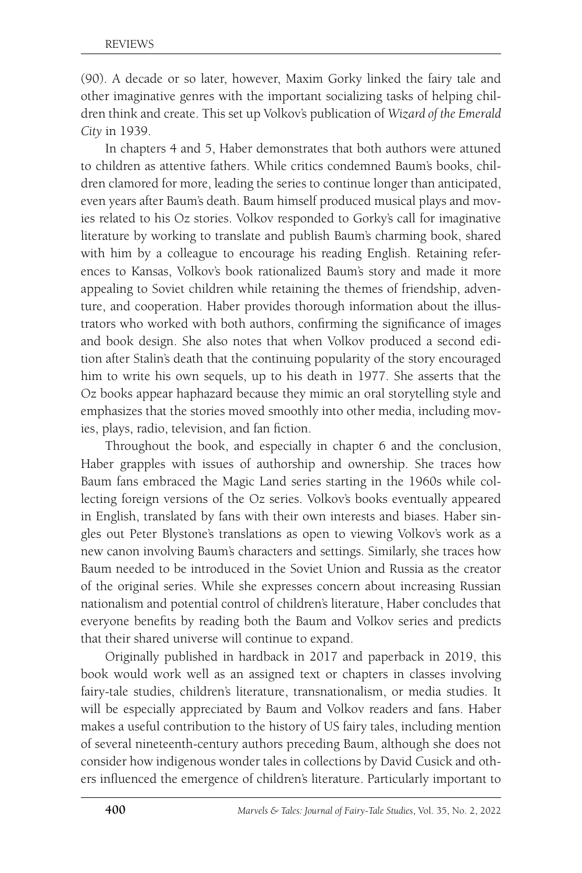(90). A decade or so later, however, Maxim Gorky linked the fairy tale and other imaginative genres with the important socializing tasks of helping children think and create. This set up Volkov's publication of *Wizard of the Emerald City* in 1939.

In chapters 4 and 5, Haber demonstrates that both authors were attuned to children as attentive fathers. While critics condemned Baum's books, children clamored for more, leading the series to continue longer than anticipated, even years after Baum's death. Baum himself produced musical plays and movies related to his Oz stories. Volkov responded to Gorky's call for imaginative literature by working to translate and publish Baum's charming book, shared with him by a colleague to encourage his reading English. Retaining references to Kansas, Volkov's book rationalized Baum's story and made it more appealing to Soviet children while retaining the themes of friendship, adventure, and cooperation. Haber provides thorough information about the illustrators who worked with both authors, confirming the significance of images and book design. She also notes that when Volkov produced a second edition after Stalin's death that the continuing popularity of the story encouraged him to write his own sequels, up to his death in 1977. She asserts that the Oz books appear haphazard because they mimic an oral storytelling style and emphasizes that the stories moved smoothly into other media, including movies, plays, radio, television, and fan fiction.

Throughout the book, and especially in chapter 6 and the conclusion, Haber grapples with issues of authorship and ownership. She traces how Baum fans embraced the Magic Land series starting in the 1960s while collecting foreign versions of the Oz series. Volkov's books eventually appeared in English, translated by fans with their own interests and biases. Haber singles out Peter Blystone's translations as open to viewing Volkov's work as a new canon involving Baum's characters and settings. Similarly, she traces how Baum needed to be introduced in the Soviet Union and Russia as the creator of the original series. While she expresses concern about increasing Russian nationalism and potential control of children's literature, Haber concludes that everyone benefits by reading both the Baum and Volkov series and predicts that their shared universe will continue to expand.

Originally published in hardback in 2017 and paperback in 2019, this book would work well as an assigned text or chapters in classes involving fairy-tale studies, children's literature, transnationalism, or media studies. It will be especially appreciated by Baum and Volkov readers and fans. Haber makes a useful contribution to the history of US fairy tales, including mention of several nineteenth-century authors preceding Baum, although she does not consider how indigenous wonder tales in collections by David Cusick and others influenced the emergence of children's literature. Particularly important to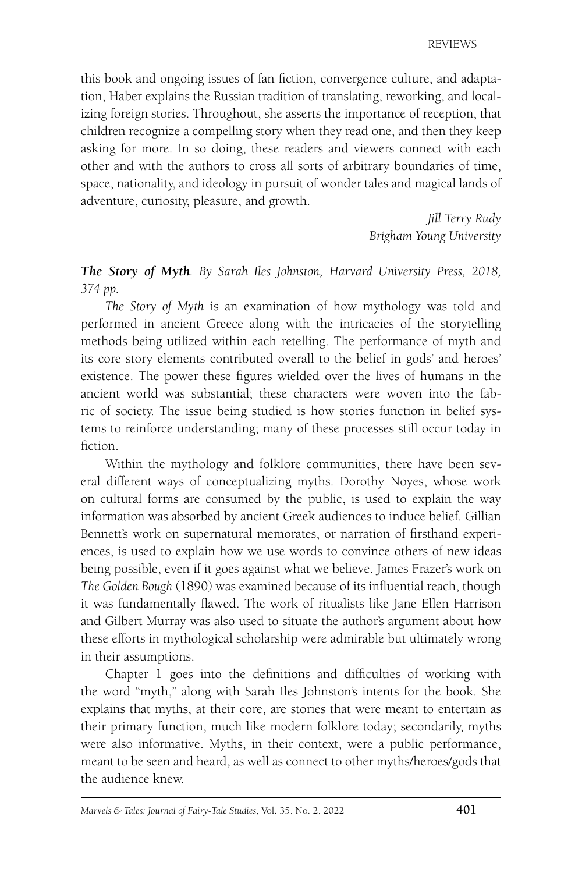this book and ongoing issues of fan fiction, convergence culture, and adaptation, Haber explains the Russian tradition of translating, reworking, and localizing foreign stories. Throughout, she asserts the importance of reception, that children recognize a compelling story when they read one, and then they keep asking for more. In so doing, these readers and viewers connect with each other and with the authors to cross all sorts of arbitrary boundaries of time, space, nationality, and ideology in pursuit of wonder tales and magical lands of adventure, curiosity, pleasure, and growth.

> *Jill Terry Rudy Brigham Young University*

*The Story of Myth. By Sarah Iles Johnston, Harvard University Press, 2018, 374 pp.*

*The Story of Myth* is an examination of how mythology was told and performed in ancient Greece along with the intricacies of the storytelling methods being utilized within each retelling. The performance of myth and its core story elements contributed overall to the belief in gods' and heroes' existence. The power these figures wielded over the lives of humans in the ancient world was substantial; these characters were woven into the fabric of society. The issue being studied is how stories function in belief systems to reinforce understanding; many of these processes still occur today in fiction.

Within the mythology and folklore communities, there have been several different ways of conceptualizing myths. Dorothy Noyes, whose work on cultural forms are consumed by the public, is used to explain the way information was absorbed by ancient Greek audiences to induce belief. Gillian Bennett's work on supernatural memorates, or narration of firsthand experiences, is used to explain how we use words to convince others of new ideas being possible, even if it goes against what we believe. James Frazer's work on *The Golden Bough* (1890) was examined because of its influential reach, though it was fundamentally flawed. The work of ritualists like Jane Ellen Harrison and Gilbert Murray was also used to situate the author's argument about how these efforts in mythological scholarship were admirable but ultimately wrong in their assumptions.

Chapter 1 goes into the definitions and difficulties of working with the word "myth," along with Sarah Iles Johnston's intents for the book. She explains that myths, at their core, are stories that were meant to entertain as their primary function, much like modern folklore today; secondarily, myths were also informative. Myths, in their context, were a public performance, meant to be seen and heard, as well as connect to other myths/heroes/gods that the audience knew.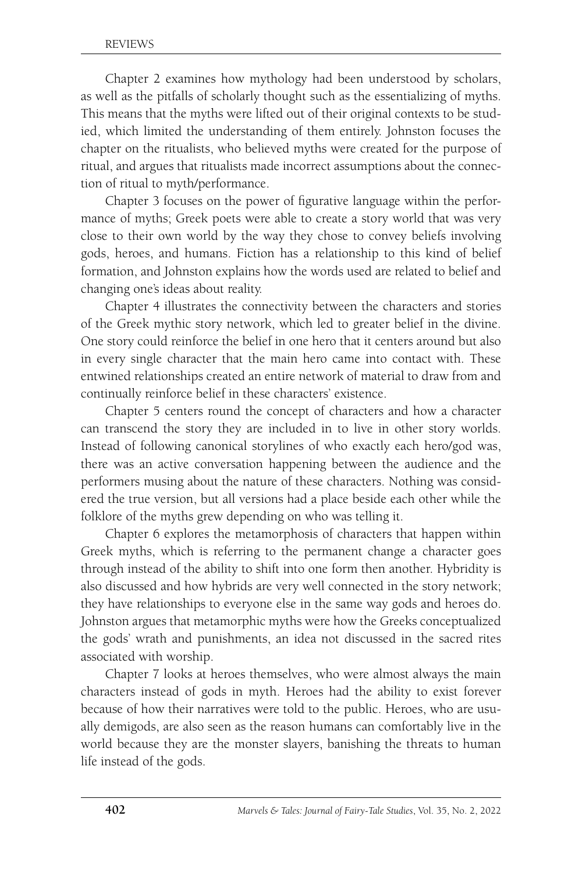Chapter 2 examines how mythology had been understood by scholars, as well as the pitfalls of scholarly thought such as the essentializing of myths. This means that the myths were lifted out of their original contexts to be studied, which limited the understanding of them entirely. Johnston focuses the chapter on the ritualists, who believed myths were created for the purpose of ritual, and argues that ritualists made incorrect assumptions about the connection of ritual to myth/performance.

Chapter 3 focuses on the power of figurative language within the performance of myths; Greek poets were able to create a story world that was very close to their own world by the way they chose to convey beliefs involving gods, heroes, and humans. Fiction has a relationship to this kind of belief formation, and Johnston explains how the words used are related to belief and changing one's ideas about reality.

Chapter 4 illustrates the connectivity between the characters and stories of the Greek mythic story network, which led to greater belief in the divine. One story could reinforce the belief in one hero that it centers around but also in every single character that the main hero came into contact with. These entwined relationships created an entire network of material to draw from and continually reinforce belief in these characters' existence.

Chapter 5 centers round the concept of characters and how a character can transcend the story they are included in to live in other story worlds. Instead of following canonical storylines of who exactly each hero/god was, there was an active conversation happening between the audience and the performers musing about the nature of these characters. Nothing was considered the true version, but all versions had a place beside each other while the folklore of the myths grew depending on who was telling it.

Chapter 6 explores the metamorphosis of characters that happen within Greek myths, which is referring to the permanent change a character goes through instead of the ability to shift into one form then another. Hybridity is also discussed and how hybrids are very well connected in the story network; they have relationships to everyone else in the same way gods and heroes do. Johnston argues that metamorphic myths were how the Greeks conceptualized the gods' wrath and punishments, an idea not discussed in the sacred rites associated with worship.

Chapter 7 looks at heroes themselves, who were almost always the main characters instead of gods in myth. Heroes had the ability to exist forever because of how their narratives were told to the public. Heroes, who are usually demigods, are also seen as the reason humans can comfortably live in the world because they are the monster slayers, banishing the threats to human life instead of the gods.